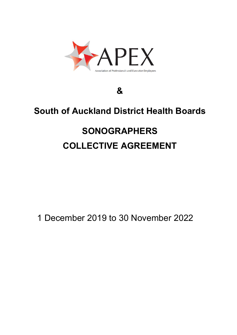

# **&**

# **South of Auckland District Health Boards**

# **SONOGRAPHERS COLLECTIVE AGREEMENT**

1 December 2019 to 30 November 2022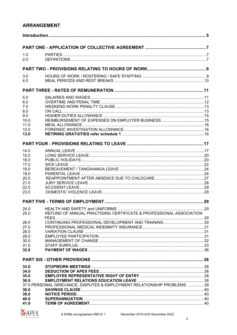# **ARRANGEMENT**

| 1.0  |                                                                        |  |
|------|------------------------------------------------------------------------|--|
| 2.0  |                                                                        |  |
|      |                                                                        |  |
|      |                                                                        |  |
| 3.0  |                                                                        |  |
| 4.0  |                                                                        |  |
|      |                                                                        |  |
| 5.0  |                                                                        |  |
| 6.0  |                                                                        |  |
| 7.0  |                                                                        |  |
| 8.0  |                                                                        |  |
| 9.0  |                                                                        |  |
| 10.0 |                                                                        |  |
| 11.0 |                                                                        |  |
| 12.0 |                                                                        |  |
| 13.0 |                                                                        |  |
|      |                                                                        |  |
| 14.0 |                                                                        |  |
| 15.0 |                                                                        |  |
| 16.0 |                                                                        |  |
| 17.0 |                                                                        |  |
| 18.0 |                                                                        |  |
| 19.0 |                                                                        |  |
| 20.0 |                                                                        |  |
| 21.0 |                                                                        |  |
| 22.0 |                                                                        |  |
| 23.0 |                                                                        |  |
|      |                                                                        |  |
|      |                                                                        |  |
| 24.0 |                                                                        |  |
| 25.0 | REFUND OF ANNUAL PRACTISING CERTIFICATE & PROFESSIONAL ASSOCIATION     |  |
| 26.0 |                                                                        |  |
| 27.0 |                                                                        |  |
| 28.0 |                                                                        |  |
| 29.0 |                                                                        |  |
| 30.0 |                                                                        |  |
| 31.0 |                                                                        |  |
| 32.0 |                                                                        |  |
|      |                                                                        |  |
| 33.0 |                                                                        |  |
| 34.0 |                                                                        |  |
| 35.0 |                                                                        |  |
| 36.0 |                                                                        |  |
|      | 37.0 PERSONAL GRIEVANCE, DISPUTES & EMPLOYMENT RELATIONSHIP PROBLEMS39 |  |
| 38.0 |                                                                        |  |
| 39.0 |                                                                        |  |
| 40.0 |                                                                        |  |
| 41.0 |                                                                        |  |

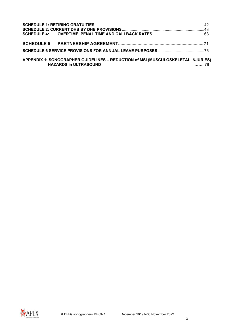| APPENDIX 1: SONOGRAPHER GUIDELINES - REDUCTION of MSI (MUSCULOSKELETAL INJURIES)<br><b>HAZARDS in ULTRASOUND</b> |  |
|------------------------------------------------------------------------------------------------------------------|--|

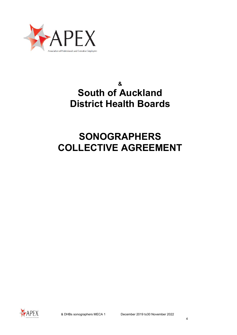

# **& South of Auckland District Health Boards**

# **SONOGRAPHERS COLLECTIVE AGREEMENT**

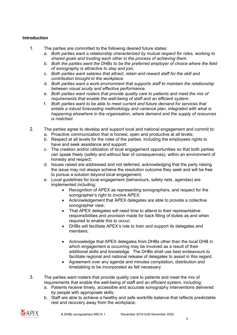# <span id="page-4-0"></span>**Introduction**

- 1. The parties are committed to the following desired future states:
	- a. *Both parties want a relationship characterized by mutual respect for roles, working to shared goals and trusting each other in the process of achieving them.*
	- b. *Both the parties want the DHBs to be the preferred employer of choice where the field of sonography is attractive to stay and join.*
	- c. *Both parties want salaries that attract, retain and reward staff for the skill and contribution brought to the workplace.*
	- d. *Both parties want a work environment that supports staff to maintain the relationship between visual acuity and effective performance.*
	- e. *Both parties want rosters that provide quality care to patients and meet the mix of requirements that enable the well-being of staff and an efficient system.*
	- f. *Both parties want to be able to meet current and future demand for services that entails a robust forecasting methodology and variance plan, integrated with what is happening elsewhere in the organisation, where demand and the supply of resources is matched.*
- 2. The parties agree to develop and support local and national engagement and commit to:
	- a. Proactive communication that is honest, open and productive at all levels;
	- b. Respect at all levels for the roles of the parties, including the employees rights to have and seek assistance and support;
	- c. The creation and/or utilization of local engagement opportunities so that both parties can speak freely (safely and without fear of consequences), within an environment of honesty and respect;
	- d. Issues raised are addressed and not deferred, acknowledging that the party raising the issue may not always achieve the resolution outcome they seek and will be free to pursue a solution beyond local engagement;
	- e. Local guidelines for local engagement (behaviours, safety nets, agendas) are implemented including;
		- Recognition of APEX as representing sonographers, and respect for the sonographer's right to involve APEX;
		- Acknowledgement that APEX delegates are able to provide a collective sonographer view;
		- That APEX delegates will need time to attend to their representative responsibilities and provision made for back filling of duties as and when required to enable this to occur;
		- DHBs will facilitate APEX's role to train and support its delegates and members;
		- Acknowledge that APEX delegates from DHBs other than the local DHB in which engagement is occurring may be involved as a result of their additional skills and knowledge. The DHBs shall use best endeavours to facilitate regional and national release of delegates to assist in this regard.
		- Agreement over any agenda and minutes compilation, distribution and timetabling to be incorporated as felt necessary
- 3. The parties want rosters that provide quality care to patients and meet the mix of requirements that enable the well-being of staff and an efficient system, including:
	- a. Patients receive timely, accessible and accurate sonography interventions delivered by people with appropriate skills;
	- b. Staff are able to achieve a healthy and safe work/life balance that reflects predictable rest and recovery away from the workplace;

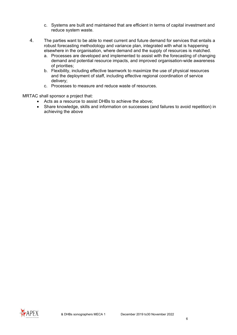- c. Systems are built and maintained that are efficient in terms of capital investment and reduce system waste.
- 4. The parties want to be able to meet current and future demand for services that entails a robust forecasting methodology and variance plan, integrated with what is happening elsewhere in the organisation, where demand and the supply of resources is matched.
	- a. Processes are developed and implemented to assist with the forecasting of changing demand and potential resource impacts, and improved organisation-wide awareness of priorities;
	- b. Flexibility, including effective teamwork to maximize the use of physical resources and the deployment of staff, including effective regional coordination of service delivery;
	- c. Processes to measure and reduce waste of resources.

MRTAC shall sponsor a project that:

- Acts as a resource to assist DHBs to achieve the above;
- Share knowledge, skills and information on successes (and failures to avoid repetition) in achieving the above

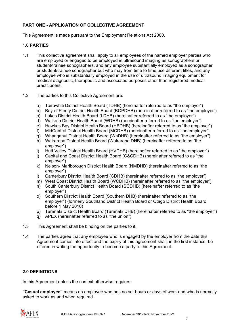# <span id="page-6-0"></span>**PART ONE - APPLICATION OF COLLECTIVE AGREEMENT**

This Agreement is made pursuant to the Employment Relations Act 2000.

### <span id="page-6-1"></span>**1.0 PARTIES**

- 1.1 This collective agreement shall apply to all employees of the named employer parties who are employed or engaged to be employed in ultrasound imaging as sonographers or student/trainee sonographers, and any employee substantially employed as a sonographer or student/trainee sonographer but who may from time to time use different titles, and any employee who is substantially employed in the use of ultrasound imaging equipment for medical diagnostic, therapeutic and associated purposes other than registered medical practitioners.
- 1.2 The parties to this Collective Agreement are:
	- a) Tairawhiti District Health Board (TDHB) (hereinafter referred to as "the employer")
	- b) Bay of Plenty District Health Board (BOPDHB) (hereinafter referred to as "the employer")
	- c) Lakes District Health Board (LDHB) (hereinafter referred to as "the employer")
	- d) Waikato District Health Board (WDHB) (hereinafter referred to as "the employer")
	- e) Hawkes Bay District Health Board (HBDHB) (hereinafter referred to as "the employer")
	- f) MidCentral District Health Board (MCDHB) (hereinafter referred to as "the employer")
	- g) Whanganui District Health Board (WhDHB) (hereinafter referred to as "the employer")
	- h) Wairarapa District Health Board (Wairarapa DHB) (hereinafter referred to as "the employer")
	- i) Hutt Valley District Health Board (HVDHB) (hereinafter referred to as "the employer")
	- j) Capital and Coast District Health Board (C&CDHB) (hereinafter referred to as "the employer")
	- k) Nelson- Marlborough District Health Board (NMDHB) (hereinafter referred to as "the employer")
	- l) Canterbury District Health Board (CDHB) (hereinafter referred to as "the employer")
	- m) West Coast District Health Board (WCDHB) (hereinafter referred to as "the employer")
	- n) South Canterbury District Health Board (SCDHB) (hereinafter referred to as "the employer")
	- o) Southern District Health Board (Southern DHB) (hereinafter referred to as "the employer") (formerly Southland District Health Board or Otago District Health Board before 1 May 2010)
	- p) Taranaki District Health Board (Taranaki DHB) (hereinafter referred to as "the employer")
	- q) APEX (hereinafter referred to as "the union")
- 1.3 This Agreement shall be binding on the parties to it.
- 1.4 The parties agree that any employee who is engaged by the employer from the date this Agreement comes into effect and the expiry of this agreement shall, in the first instance, be offered in writing the opportunity to become a party to this Agreement.

# <span id="page-6-2"></span>**2.0 DEFINITIONS**

In this Agreement unless the context otherwise requires:

**"Casual employee"** means an employee who has no set hours or days of work and who is normally asked to work as and when required.

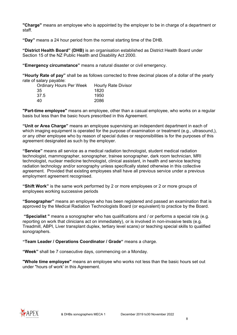**"Charge"** means an employee who is appointed by the employer to be in charge of a department or staff.

**"Day"** means a 24 hour period from the normal starting time of the DHB.

**"District Health Board" (DHB)** is an organisation established as District Health Board under Section 15 of the NZ Public Health and Disability Act 2000.

**"Emergency circumstance"** means a natural disaster or civil emergency.

**"Hourly Rate of pay"** shall be as follows corrected to three decimal places of a dollar of the yearly rate of salary payable:

| Ordinary Hours Per Week | <b>Hourly Rate Divisor</b> |
|-------------------------|----------------------------|
| -35                     | 1820                       |
| 37.5                    | 1950                       |
| 40                      | 2086                       |

**"Part-time employee"** means an employee, other than a casual employee, who works on a regular basis but less than the basic hours prescribed in this Agreement.

**"Unit or Area Charge"** means an employee supervising an independent department in each of which imaging equipment is operated for the purpose of examination or treatment (e.g., ultrasound,), or any other employee who by reason of special duties or responsibilities is for the purposes of this agreement designated as such by the employer.

**"Service"** means all service as a medical radiation technologist, student medical radiation technologist, mammographer, sonographer, trainee sonographer, dark room technician, MRI technologist, nuclear medicine technologist, clinical assistant, in health and service teaching radiation technology and/or sonography unless specifically stated otherwise in this collective agreement. Provided that existing employees shall have all previous service under a previous employment agreement recognised.

**"Shift Work"** is the same work performed by 2 or more employees or 2 or more groups of employees working successive periods

**"Sonographer"** means an employee who has been registered and passed an examination that is approved by the Medical Radiation Technologists Board (or equivalent) to practice by the Board.

**"Specialist "** means a sonographer who has qualifications and / or performs a special role (e.g. reporting on work that clinicians act on immediately), or is involved in non-invasive tests (e.g. Treadmill, ABPI, Liver transplant duplex, tertiary level scans) or teaching special skills to qualified sonographers.

**"Team Leader / Operations Coordinator / Grade"** means a charge.

**"Week"** shall be 7 consecutive days, commencing on a Monday.

**"Whole time employee"** means an employee who works not less than the basic hours set out under "hours of work' in this Agreement.

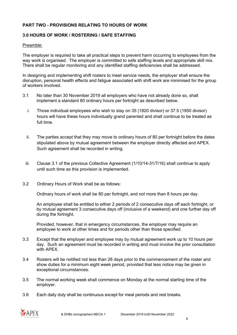# <span id="page-8-0"></span>**PART TWO - PROVISIONS RELATING TO HOURS OF WORK**

#### <span id="page-8-1"></span>**3.0 HOURS OF WORK / ROSTERING / SAFE STAFFING**

#### Preamble:

The employer is required to take all practical steps to prevent harm occurring to employees from the way work is organised. The employer is committed to safe staffing levels and appropriate skill mix. There shall be regular monitoring and any identified staffing deficiencies shall be addressed.

In designing and implementing shift rosters to meet service needs, the employer shall ensure the disruption, personal health effects and fatigue associated with shift work are minimised for the group of workers involved.

- 3.1 No later than 30 November 2019 all employers who have not already done so, shall implement a standard 80 ordinary hours per fortnight as described below.
	- i. Those individual employees who wish to stay on 35 (1820 divisor) or 37.5 (1950 divisor) hours will have these hours individually grand parented and shall continue to be treated as full time.
	- ii. The parties accept that they may move to ordinary hours of 80 per fortnight before the dates stipulated above by mutual agreement between the employer directly affected and APEX. Such agreement shall be recorded in writing.
	- iii. Clause 3.1 of the previous Collective Agreement (1/10/14-31/7/16) shall continue to apply until such time as this provision is implemented.
- 3.2 Ordinary Hours of Work shall be as follows:

Ordinary hours of work shall be 80 per fortnight, and not more than 8 hours per day.

An employee shall be entitled to either 2 periods of 2 consecutive days off each fortnight, or by mutual agreement 3 consecutive days off (inclusive of a weekend) and one further day off during the fortnight.

Provided, however, that in emergency circumstances, the employer may require an employee to work at other times and for periods other than those specified.

- 3.3 Except that the employer and employee may by mutual agreement work up to 10 hours per day. Such an agreement must be recorded in writing and must involve the prior consultation with APFX
- 3.4 Rosters will be notified not less than 28 days prior to the commencement of the roster and show duties for a minimum eight week period, provided that less notice may be given in exceptional circumstances.
- 3.5 The normal working week shall commence on Monday at the normal starting time of the employer.
- 3.6 Each daily duty shall be continuous except for meal periods and rest breaks.

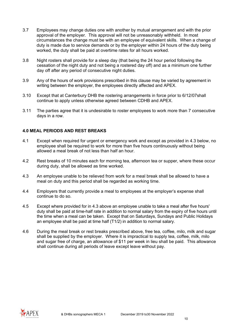- 3.7 Employees may change duties one with another by mutual arrangement and with the prior approval of the employer. This approval will not be unreasonably withheld. In most circumstances the change must be with an employee of equivalent skills. When a change of duty is made due to service demands or by the employer within 24 hours of the duty being worked, the duty shall be paid at overtime rates for all hours worked.
- 3.8 Night rosters shall provide for a sleep day (that being the 24 hour period following the cessation of the night duty and not being a rostered day off) and as a minimum one further day off after any period of consecutive night duties.
- 3.9 Any of the hours of work provisions prescribed in this clause may be varied by agreement in writing between the employer, the employees directly affected and APEX.
- 3.10 Except that at Canterbury DHB the rostering arrangements in force prior to 6/12/07shall continue to apply unless otherwise agreed between CDHB and APEX.
- 3.11 The parties agree that it is undesirable to roster employees to work more than 7 consecutive days in a row.

### <span id="page-9-0"></span>**4.0 MEAL PERIODS AND REST BREAKS**

- 4.1 Except when required for urgent or emergency work and except as provided in 4.3 below, no employee shall be required to work for more than five hours continuously without being allowed a meal break of not less than half an hour.
- 4.2 Rest breaks of 10 minutes each for morning tea, afternoon tea or supper, where these occur during duty, shall be allowed as time worked.
- 4.3 An employee unable to be relieved from work for a meal break shall be allowed to have a meal on duty and this period shall be regarded as working time.
- 4.4 Employers that currently provide a meal to employees at the employer's expense shall continue to do so.
- 4.5 Except where provided for in 4.3 above an employee unable to take a meal after five hours' duty shall be paid at time-half rate in addition to normal salary from the expiry of five hours until the time when a meal can be taken. Except that on Saturdays, Sundays and Public Holidays an employee shall be paid at time half (T1/2) in addition to normal salary.
- 4.6 During the meal break or rest breaks prescribed above, free tea, coffee, milo, milk and sugar shall be supplied by the employer. Where it is impractical to supply tea, coffee, milk, milo and sugar free of charge, an allowance of \$11 per week in lieu shall be paid. This allowance shall continue during all periods of leave except leave without pay.

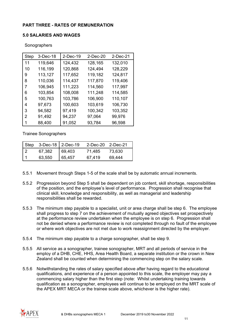# <span id="page-10-0"></span>**PART THREE - RATES OF REMUNERATION**

#### <span id="page-10-1"></span>**5.0 SALARIES AND WAGES**

| Sonographers |
|--------------|
|--------------|

| Step | 3-Dec-18 | $2-Dec-19$ | 2-Dec-20 | 2-Dec-21 |
|------|----------|------------|----------|----------|
| 11   | 119,646  | 124,432    | 128,165  | 132,010  |
| 10   | 116,199  | 120,868    | 124,494  | 128,229  |
| 9    | 113,127  | 117,652    | 119,182  | 124,817  |
| 8    | 110,036  | 114,437    | 117,870  | 119,406  |
| 7    | 106,945  | 111,223    | 114,560  | 117,997  |
| 6    | 103,854  | 108,008    | 111,248  | 114,585  |
| 5    | 100,763  | 103,786    | 106,900  | 110,107  |
| 4    | 97,673   | 100,603    | 103,619  | 106,730  |
| 3    | 94,582   | 97,419     | 100,342  | 103,352  |
| 2    | 91,492   | 94,237     | 97,064   | 99,976   |
| 1    | 88,400   | 91,052     | 93,784   | 96,598   |

Trainee Sonographers

| Step $3$ -Dec-18 2-Dec-19 |        | 2-Dec-20 2-Dec-21 |        |
|---------------------------|--------|-------------------|--------|
| 67,382                    | 69,403 | 71,485            | 73,630 |
| 63,550                    | 65,457 | 67,419            | 69,444 |

- 5.5.1 Movement through Steps 1-5 of the scale shall be by automatic annual increments.
- 5.5.2 Progression beyond Step 5 shall be dependent on job content, skill shortage, responsibilities of the position, and the employee's level of performance. Progression shall recognise that clinical skill, knowledge and responsibility, as well as managerial and leadership responsibilities shall be rewarded.
- 5.5.3 The minimum step payable to a specialist, unit or area charge shall be step 6. The employee shall progress to step 7 on the achievement of mutually agreed objectives set prospectively at the performance review undertaken when the employee is on step 6. Progression shall not be denied where a performance review is not completed through no fault of the employee or where work objectives are not met due to work reassignment directed by the employer.
- 5.5.4 The minimum step payable to a charge sonographer, shall be step 9.
- 5.5.5 All service as a sonographer, trainee sonographer, MRT and all periods of service in the employ of a DHB, CHE, HHS, Area Health Board, a separate institution or the crown in New Zealand shall be counted when determining the commencing step on the salary scale.
- 5.5.6 Notwithstanding the rates of salary specified above after having regard to the educational qualifications, and experience of a person appointed to this scale, the employer may pay a commencing salary higher than the first step (note: Whilst undertaking training towards qualification as a sonographer, employees will continue to be employed on the MRT scale of the APEX MRT MECA or the trainee scale above, whichever is the higher rate).

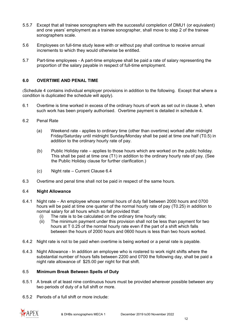- 5.5.7 Except that all trainee sonographers with the successful completion of DMU1 (or equivalent) and one years' employment as a trainee sonographer, shall move to step 2 of the trainee sonographers scale.
- 5.6 Employees on full-time study leave with or without pay shall continue to receive annual increments to which they would otherwise be entitled.
- 5.7 Part-time employees A part-time employee shall be paid a rate of salary representing the proportion of the salary payable in respect of full-time employment.

# <span id="page-11-0"></span>**6.0 OVERTIME AND PENAL TIME**

(Schedule 4 contains individual employer provisions in addition to the following. Except that where a condition is duplicated the schedule will apply).

- 6.1 Overtime is time worked in excess of the ordinary hours of work as set out in clause 3, when such work has been properly authorised. Overtime payment is detailed in schedule 4.
- 6.2 Penal Rate
	- (a) Weekend rate applies to ordinary time (other than overtime) worked after midnight Friday/Saturday until midnight Sunday/Monday shall be paid at time one half (T0.5) in addition to the ordinary hourly rate of pay.
	- (b) Public Holiday rate applies to those hours which are worked on the public holiday. This shall be paid at time one (T1) in addition to the ordinary hourly rate of pay. (See the Public Holiday clause for further clarification.)
	- (c) Night rate Current Clause 6.4
- 6.3 Overtime and penal time shall not be paid in respect of the same hours.

#### 6.4 **Night Allowance**

- 6.4.1 Night rate An employee whose normal hours of duty fall between 2000 hours and 0700 hours will be paid at time one quarter of the normal hourly rate of pay (T0.25) in addition to normal salary for all hours which so fall provided that:
	- (i) The rate is to be calculated on the ordinary time hourly rate;<br>(ii) The minimum payment under this provision shall not be less
	- The minimum payment under this provision shall not be less than payment for two hours at T 0.25 of the normal hourly rate even if the part of a shift which falls between the hours of 2000 hours and 0600 hours is less than two hours worked.
- 6.4.2 Night rate is not to be paid when overtime is being worked or a penal rate is payable.
- 6.4.3 Night Allowance In addition an employee who is rostered to work night shifts where the substantial number of hours falls between 2200 and 0700 the following day, shall be paid a night rate allowance of \$25.00 per night for that shift.

# 6.5 **Minimum Break Between Spells of Duty**

- 6.5.1 A break of at least nine continuous hours must be provided wherever possible between any two periods of duty of a full shift or more.
- 6.5.2 Periods of a full shift or more include:

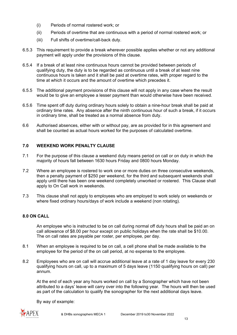- (i) Periods of normal rostered work; or
- (ii) Periods of overtime that are continuous with a period of normal rostered work; or
- (iii) Full shifts of overtime/call-back duty.
- 6.5.3 This requirement to provide a break wherever possible applies whether or not any additional payment will apply under the provisions of this clause.
- 6.5.4 If a break of at least nine continuous hours cannot be provided between periods of qualifying duty, the duty is to be regarded as continuous until a break of at least nine continuous hours is taken and it shall be paid at overtime rates, with proper regard to the time at which it occurs and the amount of overtime which precedes it.
- 6.5.5 The additional payment provisions of this clause will not apply in any case where the result would be to give an employee a lesser payment than would otherwise have been received.
- 6.5.6 Time spent off duty during ordinary hours solely to obtain a nine-hour break shall be paid at ordinary time rates. Any absence after the ninth continuous hour of such a break, if it occurs in ordinary time, shall be treated as a normal absence from duty.
- 6.6 Authorised absences, either with or without pay, are as provided for in this agreement and shall be counted as actual hours worked for the purposes of calculated overtime.

### <span id="page-12-0"></span>**7.0 WEEKEND WORK PENALTY CLAUSE**

- 7.1 For the purpose of this clause a weekend duty means period on call or on duty in which the majority of hours fall between 1630 hours Friday and 0800 hours Monday.
- 7.2 Where an employee is rostered to work one or more duties on three consecutive weekends, then a penalty payment of \$250 per weekend, for the third and subsequent weekends shall apply until there has been one weekend completely unworked or rostered. This Clause shall apply to On Call work in weekends.
- 7.3 This clause shall not apply to employees who are employed to work solely on weekends or where fixed ordinary hours/days of work include a weekend (non rotating).

# <span id="page-12-1"></span>**8.0 ON CALL**

An employee who is instructed to be on call during normal off duty hours shall be paid an on call allowance of \$8.00 per hour except on public holidays when the rate shall be \$10.00. The on call rates are payable per roster, per employee, per day.

- 8.1 When an employee is required to be on call, a cell phone shall be made available to the employee for the period of the on call period, at no expense to the employee.
- 8.2 Employees who are on call will accrue additional leave at a rate of 1 day leave for every 230 qualifying hours on call, up to a maximum of 5 days leave (1150 qualifying hours on call) per annum.

At the end of each year any hours worked on call by a Sonographer which have not been attributed to a days' leave will carry over into the following year. The hours will then be used as part of the calculation to qualify the sonographer for the next additional days leave.

By way of example:

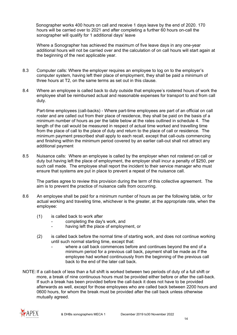Sonographer works 400 hours on call and receive 1 days leave by the end of 2020. 170 hours will be carried over to 2021 and after completing a further 60 hours on-call the sonographer will qualify for 1 additional days' leave

Where a Sonographer has achieved the maximum of five leave days in any one-year additional hours will not be carried over and the calculation of on call hours will start again at the beginning of the next applicable year.

- 8.3 Computer calls: Where the employer requires an employee to log on to the employer's computer system, having left their place of employment, they shall be paid a minimum of three hours at T2, on the same terms as set out in this clause.
- 8.4 Where an employee is called back to duty outside that employee's rostered hours of work the employee shall be reimbursed actual and reasonable expenses for transport to and from call duty.

Part-time employees (call-backs) - Where part-time employees are part of an official on call roster and are called out from their place of residence, they shall be paid on the basis of a minimum number of hours as per the table below at the rates outlined in schedule 4. The length of the call would be measured in respect of actual time worked and travelling time from the place of call to the place of duty and return to the place of call or residence. The minimum payment prescribed shall apply to each recall, except that call-outs commencing and finishing within the minimum period covered by an earlier call-out shall not attract any additional payment

8.5 Nuisance calls: Where an employee is called by the employer when not rostered on call or duty but having left the place of employment, the employer shall incur a penalty of \$250, per such call made. The employee shall report the incident to their service manager who must ensure that systems are put in place to prevent a repeat of the nuisance call.

The parties agree to review this provision during the term of this collective agreement. The aim is to prevent the practice of nuisance calls from occurring.

- 8.6 An employee shall be paid for a minimum number of hours as per the following table, or for actual working and traveling time, whichever is the greater, at the appropriate rate, when the employee:
	- (1) is called back to work after
		- completing the day's work, and
		- having left the place of employment, or
	- (2) is called back before the normal time of starting work, and does not continue working until such normal starting time, except that:
		- where a call back commences before and continues beyond the end of a minimum period for a previous call back, payment shall be made as if the employee had worked continuously from the beginning of the previous call back to the end of the later call back.
- NOTE: If a call-back of less than a full shift is worked between two periods of duty of a full shift or more, a break of nine continuous hours must be provided either before or after the call-back. If such a break has been provided before the call-back it does not have to be provided afterwards as well, except for those employees who are called back between 2200 hours and 0600 hours, for whom the break must be provided after the call back unless otherwise mutually agreed.

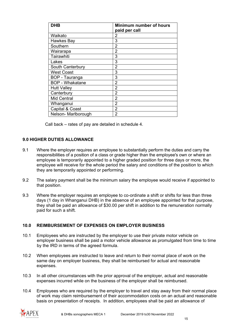| <b>DHB</b>             | Minimum number of hours |
|------------------------|-------------------------|
|                        | paid per call           |
| Waikato                | 2                       |
| Hawkes Bay             | 3                       |
| Southern               | $\overline{2}$          |
| Wairarapa              | 2                       |
| Tairawhiti             | 3                       |
| Lakes                  | 3                       |
| South Canterbury       | 2                       |
| <b>West Coast</b>      | 3                       |
| BOP - Tauranga         | 3                       |
| <b>BOP - Whakatane</b> | 2                       |
| <b>Hutt Valley</b>     | 2                       |
| Canterbury             | 2                       |
| <b>Mid Central</b>     | $\overline{2}$          |
| Whanganui              | 2                       |
| Capital & Coast        | 2                       |
| Nelson- Marlborough    | 2                       |

Call back – rates of pay are detailed in schedule 4.

### <span id="page-14-0"></span>**9.0 HIGHER DUTIES ALLOWANCE**

- 9.1 Where the employer requires an employee to substantially perform the duties and carry the responsibilities of a position of a class or grade higher than the employee's own or where an employee is temporarily appointed to a higher graded position for three days or more, the employee will receive for the whole period the salary and conditions of the position to which they are temporarily appointed or performing.
- 9.2 The salary payment shall be the minimum salary the employee would receive if appointed to that position.
- 9.3 Where the employer requires an employee to co-ordinate a shift or shifts for less than three days (1 day in Whanganui DHB) in the absence of an employee appointed for that purpose, they shall be paid an allowance of \$30.00 per shift in addition to the remuneration normally paid for such a shift.

#### <span id="page-14-1"></span>**10.0 REIMBURSEMENT OF EXPENSES ON EMPLOYER BUSINESS**

- 10.1 Employees who are instructed by the employer to use their private motor vehicle on employer business shall be paid a motor vehicle allowance as promulgated from time to time by the IRD in terms of the agreed formula.
- 10.2 When employees are instructed to leave and return to their normal place of work on the same day on employer business, they shall be reimbursed for actual and reasonable expenses.
- 10.3 In all other circumstances with the prior approval of the employer, actual and reasonable expenses incurred while on the business of the employer shall be reimbursed.
- 10.4 Employees who are required by the employer to travel and stay away from their normal place of work may claim reimbursement of their accommodation costs on an actual and reasonable basis on presentation of receipts. In addition, employees shall be paid an allowance of

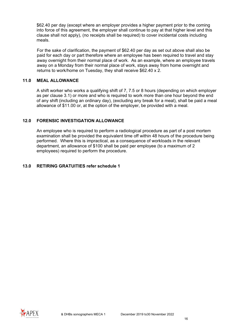\$62.40 per day (except where an employer provides a higher payment prior to the coming into force of this agreement, the employer shall continue to pay at that higher level and this clause shall not apply), (no receipts shall be required) to cover incidental costs including meals.

For the sake of clarification, the payment of \$62.40 per day as set out above shall also be paid for each day or part therefore where an employee has been required to travel and stay away overnight from their normal place of work. As an example, where an employee travels away on a Monday from their normal place of work, stays away from home overnight and returns to work/home on Tuesday, they shall receive \$62.40 x 2.

### <span id="page-15-0"></span>**11.0 MEAL ALLOWANCE**

A shift worker who works a qualifying shift of 7, 7.5 or 8 hours (depending on which employer as per clause 3.1) or more and who is required to work more than one hour beyond the end of any shift (including an ordinary day), (excluding any break for a meal), shall be paid a meal allowance of \$11.00 or, at the option of the employer, be provided with a meal.

### <span id="page-15-1"></span>**12.0 FORENSIC INVESTIGATION ALLOWANCE**

An employee who is required to perform a radiological procedure as part of a post mortem examination shall be provided the equivalent time off within 48 hours of the procedure being performed. Where this is impractical, as a consequence of workloads in the relevant department, an allowance of \$100 shall be paid per employee (to a maximum of 2 employees) required to perform the procedure.

### <span id="page-15-2"></span>**13.0 RETIRING GRATUITIES refer schedule 1**

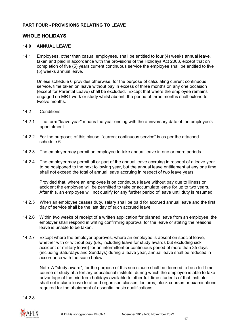# <span id="page-16-0"></span>**PART FOUR - PROVISIONS RELATING TO LEAVE**

# **WHOLE HOLIDAYS**

#### <span id="page-16-1"></span>**14.0 ANNUAL LEAVE**

14.1 Employees, other than casual employees, shall be entitled to four (4) weeks annual leave, taken and paid in accordance with the provisions of the Holidays Act 2003, except that on completion of five (5) years current continuous service the employee shall be entitled to five (5) weeks annual leave.

Unless schedule 6 provides otherwise, for the purpose of calculating current continuous service, time taken on leave without pay in excess of three months on any one occasion (except for Parental Leave) shall be excluded. Except that where the employee remains engaged on MRT work or study whilst absent, the period of three months shall extend to twelve months.

- 14.2 Conditions -
- 14.2.1 The term "leave year" means the year ending with the anniversary date of the employee's appointment.
- 14.2.2 For the purposes of this clause, "current continuous service" is as per the attached schedule 6.
- 14.2.3 The employer may permit an employee to take annual leave in one or more periods.
- 14.2.4 The employer may permit all or part of the annual leave accruing in respect of a leave year to be postponed to the next following year, but the annual leave entitlement at any one time shall not exceed the total of annual leave accruing in respect of two leave years.

Provided that, where an employee is on continuous leave without pay due to illness or accident the employee will be permitted to take or accumulate leave for up to two years. After this, an employee will not qualify for any further period of leave until duty is resumed.

- 14.2.5 When an employee ceases duty, salary shall be paid for accrued annual leave and the first day of service shall be the last day of such accrued leave.
- 14.2.6 Within two weeks of receipt of a written application for planned leave from an employee, the employer shall respond in writing confirming approval for the leave or stating the reasons leave is unable to be taken.
- 14.2.7 Except where the employer approves, where an employee is absent on special leave, whether with or without pay (i.e., including leave for study awards but excluding sick, accident or military leave) for an intermittent or continuous period of more than 35 days (including Saturdays and Sundays) during a leave year, annual leave shall be reduced in accordance with the scale below

Note: A "study award", for the purpose of this sub clause shall be deemed to be a full-time course of study at a tertiary educational institute, during which the employee is able to take advantage of the mid-term holidays available to other full-time students of that institute. It shall not include leave to attend organised classes, lectures, block courses or examinations required for the attainment of essential basic qualifications.

14.2.8

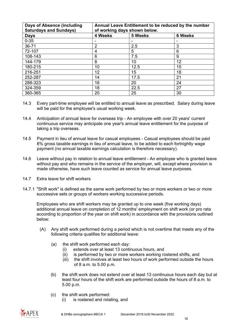| <b>Days of Absence (including</b><br><b>Saturdays and Sundays)</b> | Annual Leave Entitlement to be reduced by the number<br>of working days shown below. |         |                |
|--------------------------------------------------------------------|--------------------------------------------------------------------------------------|---------|----------------|
| <b>Days</b>                                                        | 4 Weeks                                                                              | 5 Weeks | <b>6 Weeks</b> |
| $0 - 35$                                                           |                                                                                      |         |                |
| 36-71                                                              | $\overline{2}$                                                                       | 2.5     | 3              |
| 72-107                                                             | 4                                                                                    | 5       | 6              |
| 108-143                                                            | 6                                                                                    | 7.5     | 9              |
| 144-179                                                            | 8                                                                                    | 10      | 12             |
| 180-215                                                            | 10                                                                                   | 12.5    | 15             |
| 216-251                                                            | 12                                                                                   | 15      | 18             |
| 252-287                                                            | 14                                                                                   | 17.5    | 21             |
| 288-323                                                            | 16                                                                                   | 20      | 24             |
| 324-359                                                            | 18                                                                                   | 22.5    | 27             |
| 360-365                                                            | 20                                                                                   | 25      | 30             |

- 14.3 Every part-time employee will be entitled to annual leave as prescribed. Salary during leave will be paid for the employee's usual working week.
- 14.4 Anticipation of annual leave for overseas trip An employee with over 20 years' current continuous service may anticipate one year's annual leave entitlement for the purpose of taking a trip overseas.
- 14.5 Payment in lieu of annual leave for casual employees Casual employees should be paid 8% gross taxable earnings in lieu of annual leave, to be added to each fortnightly wage payment (no annual taxable earnings calculation is therefore necessary).
- 14.6 Leave without pay in relation to annual leave entitlement An employee who is granted leave without pay and who remains in the service of the employer, will, except where provision is made otherwise, have such leave counted as service for annual leave purposes.
- 14.7 Extra leave for shift workers
- 14.7.1 "Shift work" is defined as the same work performed by two or more workers or two or more successive sets or groups of workers working successive periods.

Employees who are shift workers may be granted up to one week (five working days) additional annual leave on completion of 12 months' employment on shift work (or pro rata according to proportion of the year on shift work) in accordance with the provisions outlined below:

- (A) Any shift work performed during a period which is not overtime that meets any of the following criteria qualifies for additional leave:
	- (a) the shift work performed each day:
		- (i) extends over at least 13 continuous hours, and
		- (ii) is performed by two or more workers working rostered shifts, and
		- (iii) the shift involves at least two hours of work performed outside the hours of 8 a.m. to 5.00 p.m.
	- (b) the shift work does not extend over at least 13 continuous hours each day but at least four hours of the shift work are performed outside the hours of 8 a.m. to 5.00 p.m.
	- (c) the shift work performed:
		- (i) is rostered and rotating, and

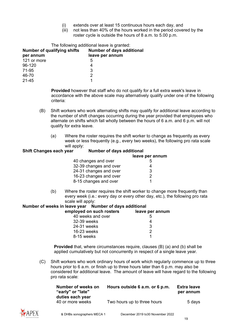- (i) extends over at least 15 continuous hours each day, and
- (iii) not less than 40% of the hours worked in the period covered by the roster cycle is outside the hours of 8 a.m. to 5.00 p.m.

| The following additional leave is granted: |                                  |  |  |
|--------------------------------------------|----------------------------------|--|--|
| Number of qualifying shifts                | <b>Number of days additional</b> |  |  |
| per annum                                  | leave per annum                  |  |  |
| 121 or more                                | 5                                |  |  |
| 96-120                                     | 4                                |  |  |
| 71-95                                      | 3                                |  |  |
| 46-70                                      | 2                                |  |  |
| 21-45                                      |                                  |  |  |

**Provided** however that staff who do not qualify for a full extra week's leave in accordance with the above scale may alternatively qualify under one of the following criteria:

- (B) Shift workers who work alternating shifts may qualify for additional leave according to the number of shift changes occurring during the year provided that employees who alternate on shifts which fall wholly between the hours of 6 a.m. and 6 p.m. will not qualify for extra leave.
	- (a) Where the roster requires the shift worker to change as frequently as every week or less frequently (e.g., every two weeks), the following pro rata scale will apply:

#### **Shift Changes each year Number of days additional**

|                        | leave per annum |
|------------------------|-----------------|
| 40 changes and over    | 5               |
| 32-39 changes and over | 4               |
| 24-31 changes and over | 3               |
| 16-23 changes and over | 2               |
| 8-15 changes and over  |                 |

(b) Where the roster requires the shift worker to change more frequently than every week (i.e.: every day or every other day, etc.), the following pro rata scale will apply:

#### **Number of weeks in leave year Number of days additional**

| employed on such rosters | leave per annum |
|--------------------------|-----------------|
| 40 weeks and over        | ხ               |
| 32-39 weeks              |                 |
| 24-31 weeks              | 3               |
| 16-23 weeks              | 2               |
| 8-15 weeks               |                 |
|                          |                 |

**Provided** that, where circumstances require, clauses (B) (a) and (b) shall be applied cumulatively but not concurrently in respect of a single leave year.

(C) Shift workers who work ordinary hours of work which regularly commence up to three hours prior to 6 a.m. or finish up to three hours later than 6 p.m. may also be considered for additional leave. The amount of leave will have regard to the following pro rata scale:

| Number of weeks on<br>"early" or "late" | Hours outside 6 a.m. or 6 p.m. | Extra leave<br>per annum |
|-----------------------------------------|--------------------------------|--------------------------|
| duties each year<br>40 or more weeks    | Two hours up to three hours    | 5 days                   |

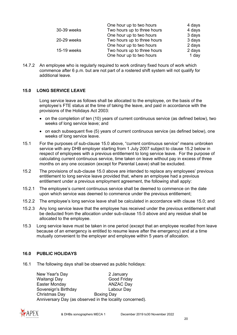|             | One hour up to two hours    | 4 days |
|-------------|-----------------------------|--------|
| 30-39 weeks | Two hours up to three hours | 4 days |
|             | One hour up to two hours    | 3 days |
| 20-29 weeks | Two hours up to three hours | 3 days |
|             | One hour up to two hours    | 2 days |
| 15-19 weeks | Two hours up to three hours | 2 days |
|             | One hour up to two hours    | 1 day  |

14.7.2 An employee who is regularly required to work ordinary fixed hours of work which commence after 6 p.m. but are not part of a rostered shift system will not qualify for additional leave.

#### <span id="page-19-0"></span>**15.0 LONG SERVICE LEAVE**

Long service leave as follows shall be allocated to the employee, on the basis of the employee's FTE status at the time of taking the leave, and paid in accordance with the provisions of the Holidays Act 2003:

- on the completion of ten (10) years of current continuous service (as defined below), two weeks of long service leave; and
- on each subsequent five (5) years of current continuous service (as defined below), one weeks of long service leave.
- 15.1 For the purposes of sub-clause 15.0 above, "current continuous service" means unbroken service with any DHB employer starting from 1 July 2007 subject to clause 15.2 below in respect of employees with a previous entitlement to long service leave. For the purpose of calculating current continuous service, time taken on leave without pay in excess of three months on any one occasion (except for Parental Leave) shall be excluded.
- 15.2 The provisions of sub-clause 15.0 above are intended to replace any employees' previous entitlement to long service leave provided that, where an employee had a previous entitlement under a previous employment agreement, the following shall apply:
- 15.2.1 The employee's current continuous service shall be deemed to commence on the date upon which service was deemed to commence under the previous entitlement;
- 15.2.2 The employee's long service leave shall be calculated in accordance with clause 15.0; and
- 15.2.3 Any long service leave that the employee has received under the previous entitlement shall be deducted from the allocation under sub-clause 15.0 above and any residue shall be allocated to the employee.
- 15.3 Long service leave must be taken in one period (except that an employee recalled from leave because of an emergency is entitled to resume leave after the emergency) and at a time mutually convenient to the employer and employee within 5 years of allocation.

# <span id="page-19-1"></span>**16.0 PUBLIC HOLIDAYS**

16.1 The following days shall be observed as public holidays:

New Year's Day 2 January Waitangi Day **Good Friday** Easter Monday **ANZAC Day** Sovereign's Birthday **Labour Day** Christmas Day Boxing Day Anniversary Day (as observed in the locality concerned).

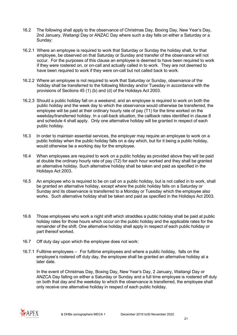- 16.2 The following shall apply to the observance of Christmas Day, Boxing Day, New Year's Day, 2nd January, Waitangi Day or ANZAC Day where such a day falls on either a Saturday or a Sunday:
- 16.2.1 Where an employee is required to work that Saturday or Sunday the holiday shall, for that employee, be observed on that Saturday or Sunday and transfer of the observance will not occur. For the purposes of this clause an employee is deemed to have been required to work if they were rostered on, or on-call and actually called in to work. They are not deemed to have been required to work if they were on-call but not called back to work.
- 16.2.2 Where an employee is not required to work that Saturday or Sunday, observance of the holiday shall be transferred to the following Monday and/or Tuesday in accordance with the provisions of Sections 45 (1) (b) and (d) of the Holidays Act 2003.
- 16.2.3 Should a public holiday fall on a weekend, and an employee is required to work on both the public holiday and the week day to which the observance would otherwise be transferred, the employee will be paid at their ordinary hourly rate of pay (T1) for the time worked on the weekday/transferred holiday. In a call-back situation, the callback rates identified in clause 8 and schedule 4 shall apply. Only one alternative holiday will be granted in respect of each public holiday.
- 16.3 In order to maintain essential services, the employer may require an employee to work on a public holiday when the public holiday falls on a day which, but for it being a public holiday, would otherwise be a working day for the employee.
- 16.4 When employees are required to work on a public holiday as provided above they will be paid at double the ordinary hourly rate of pay (T2) for each hour worked and they shall be granted an alternative holiday. Such alternative holiday shall be taken and paid as specified in the Holidays Act 2003.
- 16.5 An employee who is required to be on call on a public holiday, but is not called in to work, shall be granted an alternative holiday, except where the public holiday falls on a Saturday or Sunday and its observance is transferred to a Monday or Tuesday which the employee also works. Such alternative holiday shall be taken and paid as specified in the Holidays Act 2003.
- 16.6 Those employees who work a night shift which straddles a public holiday shall be paid at public holiday rates for those hours which occur on the public holiday and the applicable rates for the remainder of the shift. One alternative holiday shall apply in respect of each public holiday or part thereof worked.
- 16.7 Off duty day upon which the employee does not work:
- 16.7.1 Fulltime employees For fulltime employees and where a public holiday, falls on the employee's rostered off duty day, the employee shall be granted an alternative holiday at a later date.

In the event of Christmas Day, Boxing Day, New Year's Day, 2 January, Waitangi Day or ANZCA Day falling on either a Saturday or Sunday and a full time employee is rostered off duty on both that day and the weekday to which the observance is transferred, the employee shall only receive one alternative holiday in respect of each public holiday.

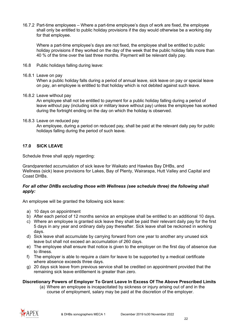16.7.2 Part-time employees – Where a part-time employee's days of work are fixed, the employee shall only be entitled to public holiday provisions if the day would otherwise be a working day for that employee.

Where a part-time employee's days are not fixed, the employee shall be entitled to public holiday provisions if they worked on the day of the week that the public holiday falls more than 40 % of the time over the last three months. Payment will be relevant daily pay.

- 16.8 Public holidays falling during leave:
- 16.8.1 Leave on pay

When a public holiday falls during a period of annual leave, sick leave on pay or special leave on pay, an employee is entitled to that holiday which is not debited against such leave.

16.8.2 Leave without pay

An employee shall not be entitled to payment for a public holiday falling during a period of leave without pay (including sick or military leave without pay) unless the employee has worked during the fortnight ending on the day on which the holiday is observed.

16.8.3 Leave on reduced pay

An employee, during a period on reduced pay, shall be paid at the relevant daily pay for public holidays falling during the period of such leave.

### <span id="page-21-0"></span>**17.0 SICK LEAVE**

Schedule three shall apply regarding:

Grandparented accumulation of sick leave for Waikato and Hawkes Bay DHBs, and Wellness (sick) leave provisions for Lakes, Bay of Plenty, Wairarapa, Hutt Valley and Capital and Coast DHBs.

#### *For all other DHBs excluding those with Wellness (see schedule three) the following shall apply:*

An employee will be granted the following sick leave:

- a) 10 days on appointment
- b) After each period of 12 months service an employee shall be entitled to an additional 10 days.
- c) Where an employee is granted sick leave they shall be paid their relevant daily pay for the first 5 days in any year and ordinary daily pay thereafter. Sick leave shall be reckoned in working days.
- d) Sick leave shall accumulate by carrying forward from one year to another any unused sick leave but shall not exceed an accumulation of 260 days.
- e) The employee shall ensure that notice is given to the employer on the first day of absence due to illness.
- f) The employer is able to require a claim for leave to be supported by a medical certificate where absence exceeds three days.
- g) 20 days sick leave from previous service shall be credited on appointment provided that the remaining sick leave entitlement is greater than zero.

#### **Discretionary Powers of Employer To Grant Leave In Excess Of The Above Prescribed Limits**

(a) Where an employee is incapacitated by sickness or injury arising out of and in the course of employment, salary may be paid at the discretion of the employer.

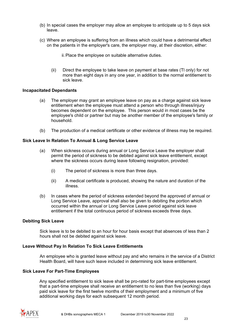- (b) In special cases the employer may allow an employee to anticipate up to 5 days sick leave.
- (c) Where an employee is suffering from an illness which could have a detrimental effect on the patients in the employer's care, the employer may, at their discretion, either:
	- ii.Place the employee on suitable alternative duties.
	- (ii) Direct the employee to take leave on payment at base rates (Tl only) for not more than eight days in any one year, in addition to the normal entitlement to sick leave.

#### **Incapacitated Dependants**

- (a) The employer may grant an employee leave on pay as a charge against sick leave entitlement when the employee must attend a person who through illness/injury becomes dependent on the employee. This person would in most cases be the employee's child or partner but may be another member of the employee's family or household.
- (b) The production of a medical certificate or other evidence of illness may be required.

#### **Sick Leave In Relation To Annual & Long Service Leave**

- (a) When sickness occurs during annual or Long Service Leave the employer shall permit the period of sickness to be debited against sick leave entitlement, except where the sickness occurs during leave following resignation, provided:
	- (i) The period of sickness is more than three days.
	- (ii) A medical certificate is produced, showing the nature and duration of the illness.
- (b) In cases where the period of sickness extended beyond the approved of annual or Long Service Leave, approval shall also be given to debiting the portion which occurred within the annual or Long Service Leave period against sick leave entitlement if the total continuous period of sickness exceeds three days.

#### **Debiting Sick Leave**

Sick leave is to be debited to an hour for hour basis except that absences of less than 2 hours shall not be debited against sick leave.

#### **Leave Without Pay In Relation To Sick Leave Entitlements**

An employee who is granted leave without pay and who remains in the service of a District Health Board, will have such leave included in determining sick leave entitlement.

#### **Sick Leave For Part-Time Employees**

Any specified entitlement to sick leave shall be pro-rated for part-time employees except that a part-time employee shall receive an entitlement to no less than five (working) days paid sick leave for the first twelve months of their employment and a minimum of five additional working days for each subsequent 12 month period.

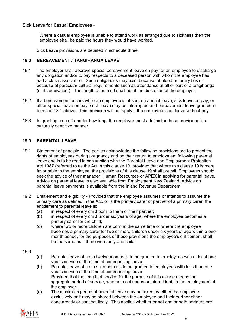### **Sick Leave for Casual Employees** -

Where a casual employee is unable to attend work as arranged due to sickness then the employee shall be paid the hours they would have worked.

Sick Leave provisions are detailed in schedule three.

### <span id="page-23-0"></span>**18.0 BEREAVEMENT / TANGIHANGA LEAVE**

- 18.1 The employer shall approve special bereavement leave on pay for an employee to discharge any obligation and/or to pay respects to a deceased person with whom the employee has had a close association. Such obligations may exist because of blood or family ties or because of particular cultural requirements such as attendance at all or part of a tangihanga (or its equivalent). The length of time off shall be at the discretion of the employer.
- 18.2 If a bereavement occurs while an employee is absent on annual leave, sick leave on pay, or other special leave on pay, such leave may be interrupted and bereavement leave granted in terms of 18.1 above. This provision will not apply if the employee is on leave without pay.
- 18.3 In granting time off and for how long, the employer must administer these provisions in a culturally sensitive manner.

### <span id="page-23-1"></span>**19.0 PARENTAL LEAVE**

- 19.1 Statement of principle The parties acknowledge the following provisions are to protect the rights of employees during pregnancy and on their return to employment following parental leave and is to be read in conjunction with the Parental Leave and Employment Protection Act 1987 (referred to as the Act in this clause 19, provided that where this clause 19 is more favourable to the employee, the provisions of this clause 19 shall prevail. Employees should seek the advice of their manager, Human Resources or APEX in applying for parental leave. Advice on parental leave is also available from Employment New Zealand. Advice on parental leave payments is available from the Inland Revenue Department.
- 19.2 Entitlement and eligibility Provided that the employee assumes or intends to assume the primary care as defined in the Act, or is the primary carer or partner of a primary carer, the entitlement to parental leave is:
	- (a) in respect of every child born to them or their partner;
	- (b) in respect of every child under six years of age, where the employee becomes a primary carer for the child;
	- (c) where two or more children are born at the same time or where the employee becomes a primary carer for two or more children under six years of age within a onemonth period, for the purposes of these provisions the employee's entitlement shall be the same as if there were only one child.
- 19.3
- (a) Parental leave of up to twelve months is to be granted to employees with at least one year's service at the time of commencing leave.
- (b) Parental leave of up to six months is to be granted to employees with less than one year's service at the time of commencing leave. Provided that the length of service for the purpose of this clause means the aggregate period of service, whether continuous or intermittent, in the employment of the employer.
- (c) The maximum period of parental leave may be taken by either the employee exclusively or it may be shared between the employee and their partner either concurrently or consecutively. This applies whether or not one or both partners are

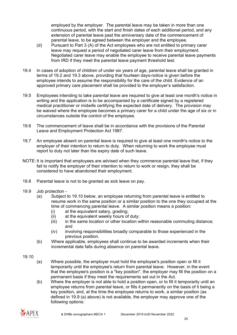employed by the employer. The parental leave may be taken in more than one continuous period, with the start and finish dates of each additional period, and any extension of parental leave past the anniversary date of the commencement of parental leave, to be agreed between the employer and the employee.

- (d) Pursuant to Part 3 (A) of the Act employees who are not entitled to primary carer leave may request a period of negotiated carer leave from their employment. Negotiated carer leave may enable the employee to receive parental leave payments from IRD if they meet the parental leave payment threshold test.
- 19.4 In cases of adoption of children of under six years of age, parental leave shall be granted in terms of 19.2 and 19.3 above, providing that fourteen days-notice is given before the employee intends to assume the responsibility for the care of the child. Evidence of an approved primary care placement shall be provided to the employer's satisfaction.
- 19.5 Employees intending to take parental leave are required to give at least one month's notice in writing and the application is to be accompanied by a certificate signed by a registered medical practitioner or midwife certifying the expected date of delivery. The provision may be waived where the employee becomes a primary carer for a child under the age of six or in circumstances outside the control of the employee.
- 19.6 The commencement of leave shall be in accordance with the provisions of the Parental Leave and Employment Protection Act 1987.
- 19.7 An employee absent on parental leave is required to give at least one month's notice to the employer of their intention to return to duty. When returning to work the employee must report to duty not later than the expiry date of such leave.
- NOTE: It is important that employees are advised when they commence parental leave that, if they fail to notify the employer of their intention to return to work or resign, they shall be considered to have abandoned their employment.
- 19.8 Parental leave is not to be granted as sick leave on pay.
- 19.9 Job protection
	- (a) Subject to 19.10 below, an employee returning from parental leave is entitled to resume work in the same position or a similar position to the one they occupied at the time of commencing parental leave. A similar position means a position:
		- (i) at the equivalent salary, grading;
		- (ii) at the equivalent weekly hours of duty;<br>(iii) in the same location or other location w
		- in the same location or other location within reasonable commuting distance: and
		- (iv) involving responsibilities broadly comparable to those experienced in the previous position.
	- (b) Where applicable, employees shall continue to be awarded increments when their incremental date falls during absence on parental leave.

#### 19.10

- (a) Where possible, the employer must hold the employee's position open or fill it temporarily until the employee's return from parental leave. However, in the event that the employee's position is a "key position", the employer may fill the position on a permanent basis if they meet the requirements set out in the Act.
- (b) Where the employer is not able to hold a position open, or to fill it temporarily until an employee returns from parental leave, or fills it permanently on the basis of it being a key position, and, at the time the employee returns to work, a similar position (as defined in 19.9 (a) above) is not available, the employer may approve one of the following options:

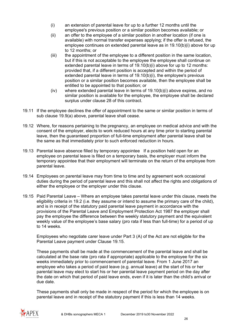- (i) an extension of parental leave for up to a further 12 months until the employee's previous position or a similar position becomes available; or
- (ii) an offer to the employee of a similar position in another location (if one is available) with normal transfer expenses applying; if the offer is refused, the employee continues on extended parental leave as in 19.10(b)(i) above for up to 12 months; or
- (iii) the appointment of the employee to a different position in the same location, but if this is not acceptable to the employee the employee shall continue on extended parental leave in terms of 19.10(b)(i) above for up to 12 months: provided that, if a different position is accepted and within the period of extended parental leave in terms of 19.10(b)(i), the employee's previous position or a similar position becomes available, then the employee shall be entitled to be appointed to that position; or
- (iv) where extended parental leave in terms of 19.10(b)(i) above expires, and no similar position is available for the employee, the employee shall be declared surplus under clause 28 of this contract.
- 19.11 If the employee declines the offer of appointment to the same or similar position in terms of sub clause 19.9(a) above, parental leave shall cease.
- 19.12 Where, for reasons pertaining to the pregnancy, an employee on medical advice and with the consent of the employer, elects to work reduced hours at any time prior to starting parental leave, then the guaranteed proportion of full-time employment after parental leave shall be the same as that immediately prior to such enforced reduction in hours.
- 19.13 Parental leave absence filled by temporary appointee If a position held open for an employee on parental leave is filled on a temporary basis, the employer must inform the temporary appointee that their employment will terminate on the return of the employee from parental leave.
- 19.14 Employees on parental leave may from time to time and by agreement work occasional duties during the period of parental leave and this shall not affect the rights and obligations of either the employee or the employer under this clause.
- 19.15 Paid Parental Leave Where an employee takes parental leave under this clause, meets the eligibility criteria in 19.2 (i.e. they assume or intend to assume the primary care of the child), and is in receipt of the statutory paid parental leave payment in accordance with the provisions of the Parental Leave and Employment Protection Act 1987 the employer shall pay the employee the difference between the weekly statutory payment and the equivalent weekly value of the employee's base salary (pro rata if less than full-time) for a period of up to 14 weeks.

Employees who negotiate carer leave under Part 3 (A) of the Act are not eligible for the Parental Leave payment under Clause 19.15.

These payments shall be made at the commencement of the parental leave and shall be calculated at the base rate (pro rata if appropriate) applicable to the employee for the six weeks immediately prior to commencement of parental leave. From 1 June 2017 an employee who takes a period of paid leave (e.g. annual leave) at the start of his or her parental leave may elect to start his or her parental leave payment period on the day after the date on which that period of paid leave ends, even if it is later than the child's arrival or due date.

These payments shall only be made in respect of the period for which the employee is on parental leave and in receipt of the statutory payment if this is less than 14 weeks.

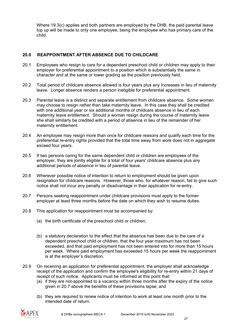Where 19.3(c) applies and both partners are employed by the DHB, the paid parental leave top up will be made to only one employee, being the employee who has primary care of the child.

# <span id="page-26-0"></span>**20.0 REAPPOINTMENT AFTER ABSENCE DUE TO CHILDCARE**

- 20.1 Employees who resign to care for a dependent preschool child or children may apply to their employer for preferential appointment to a position which is substantially the same in character and at the same or lower grading as the position previously held.
- 20.2 Total period of childcare absence allowed is four years plus any increases in lieu of maternity leave. Longer absence renders a person ineligible for preferential appointment.
- 20.3 Parental leave is a distinct and separate entitlement from childcare absence. Some women may choose to resign rather than take maternity leave. In this case they shall be credited with one additional year or six additional months of childcare absence in lieu of each maternity leave entitlement. Should a woman resign during the course of maternity leave she shall similarly be credited with a period of absence in lieu of the remainder of her maternity entitlement.
- 20.4 An employee may resign more than once for childcare reasons and qualify each time for the preferential re-entry rights provided that the total time away from work does not in aggregate exceed four years.
- 20.5 If two persons caring for the same dependent child or children are employees of the employer, they are jointly eligible for a total of four years' childcare absence plus any additional periods of absence in lieu of parental leave.
- 20.6 Wherever possible notice of intention to return to employment should be given upon resignation for childcare reasons. However, those who, for whatever reason, fail to give such notice shall not incur any penalty or disadvantage in their application for re-entry.
- 20.7 Persons seeking reappointment under childcare provisions must apply to the former employer at least three months before the date on which they wish to resume duties.
- 20.8 This application for reappointment must be accompanied by:
	- (a) the birth certificate of the preschool child or children;
	- (b) a statutory declaration to the effect that the absence has been due to the care of a dependent preschool child or children, that the four year maximum has not been exceeded, and that paid employment has not been entered into for more than 15 hours per week. Where paid employment has exceeded 15 hours per week the reappointment is at the employer's discretion.
- 20.9 On receiving an application for preferential appointment, the employer shall acknowledge receipt of the application and confirm the employee's eligibility for re-entry within 21 days of receipt of such notice. Applicants must be informed at this point that:
	- (a) if they are not-appointed to a vacancy within three months after the expiry of the notice given in 20.7 above the benefits of these provisions lapse; and
	- (b) they are required to renew notice of intention to work at least one month prior to the intended date of return.

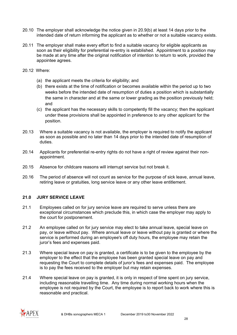- 20.10 The employer shall acknowledge the notice given in 20.9(b) at least 14 days prior to the intended date of return informing the applicant as to whether or not a suitable vacancy exists.
- 20.11 The employer shall make every effort to find a suitable vacancy for eligible applicants as soon as their eligibility for preferential re-entry is established. Appointment to a position may be made at any time after the original notification of intention to return to work, provided the appointee agrees.
- 20.12 Where:
	- (a) the applicant meets the criteria for eligibility; and
	- (b) there exists at the time of notification or becomes available within the period up to two weeks before the intended date of resumption of duties a position which is substantially the same in character and at the same or lower grading as the position previously held; and
	- (c) the applicant has the necessary skills to competently fill the vacancy; then the applicant under these provisions shall be appointed in preference to any other applicant for the position.
- 20.13 Where a suitable vacancy is not available, the employer is required to notify the applicant as soon as possible and no later than 14 days prior to the intended date of resumption of duties.
- 20.14 Applicants for preferential re-entry rights do not have a right of review against their nonappointment.
- 20.15 Absence for childcare reasons will interrupt service but not break it.
- 20.16 The period of absence will not count as service for the purpose of sick leave, annual leave, retiring leave or gratuities, long service leave or any other leave entitlement.

#### <span id="page-27-0"></span>**21.0 JURY SERVICE LEAVE**

- 21.1 Employees called on for jury service leave are required to serve unless there are exceptional circumstances which preclude this, in which case the employer may apply to the court for postponement.
- 21.2 An employee called on for jury service may elect to take annual leave, special leave on pay, or leave without pay. Where annual leave or leave without pay is granted or where the service is performed during an employee's off duty hours, the employee may retain the juror's fees and expenses paid.
- 21.3 Where special leave on pay is granted, a certificate is to be given to the employee by the employer to the effect that the employee has been granted special leave on pay and requesting the Court to complete details of juror's fees and expenses paid. The employee is to pay the fees received to the employer but may retain expenses.
- 21.4 Where special leave on pay is granted, it is only in respect of time spent on jury service, including reasonable travelling time. Any time during normal working hours when the employee is not required by the Court, the employee is to report back to work where this is reasonable and practical.

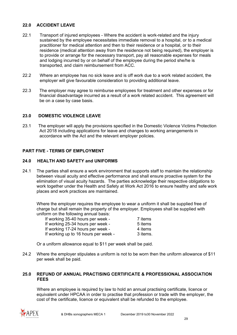# <span id="page-28-0"></span>**22.0 ACCIDENT LEAVE**

- 22.1 Transport of injured employees Where the accident is work-related and the injury sustained by the employee necessitates immediate removal to a hospital, or to a medical practitioner for medical attention and then to their residence or a hospital, or to their residence (medical attention away from the residence not being required), the employer is to provide or arrange for the necessary transport, pay all reasonable expenses for meals and lodging incurred by or on behalf of the employee during the period she/he is transported, and claim reimbursement from ACC.
- 22.2 Where an employee has no sick leave and is off work due to a work related accident, the employer will give favourable consideration to providing additional leave.
- 22.3 The employer may agree to reimburse employees for treatment and other expenses or for financial disadvantage incurred as a result of a work related accident. This agreement will be on a case by case basis.

### <span id="page-28-1"></span>**23.0 DOMESTIC VIOLENCE LEAVE**

23.1 The employer will apply the provisions specified in the Domestic Violence Victims Protection Act 2018 including applications for leave and changes to working arrangements in accordance with the Act and the relevant employer policies.

#### <span id="page-28-2"></span>**PART FIVE - TERMS OF EMPLOYMENT**

#### <span id="page-28-3"></span>**24.0 HEALTH AND SAFETY and UNIFORMS**

24.1 The parties shall ensure a work environment that supports staff to maintain the relationship between visual acuity and effective performance and shall ensure proactive system for the elimination of visual acuity hazards. The parties acknowledge their respective obligations to work together under the Health and Safety at Work Act 2016 to ensure healthy and safe work places and work practices are maintained.

Where the employer requires the employee to wear a uniform it shall be supplied free of charge but shall remain the property of the employer. Employees shall be supplied with uniform on the following annual basis:

| If working 35-40 hours per week -    | 7 items  |
|--------------------------------------|----------|
| If working 25-34 hours per week -    | 5 items  |
| If working 17-24 hours per week -    | 4 items  |
| If working up to 16 hours per week - | 3 items. |

Or a uniform allowance equal to \$11 per week shall be paid.

24.2 Where the employer stipulates a uniform is not to be worn then the uniform allowance of \$11 per week shall be paid.

#### <span id="page-28-4"></span>**25.0 REFUND OF ANNUAL PRACTISING CERTIFICATE & PROFESSIONAL ASSOCIATION FEES**

Where an employee is required by law to hold an annual practising certificate, licence or equivalent under HPCAA in order to practise that profession or trade with the employer, the cost of the certificate, licence or equivalent shall be refunded to the employee.

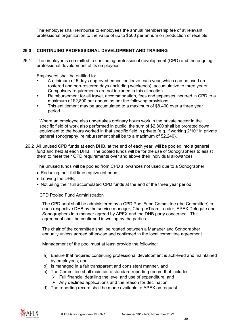The employer shall reimburse to employees the annual membership fee of at relevant professional organization to the value of up to \$500 per annum on production of receipts.

# <span id="page-29-0"></span>**26.0 CONTINUING PROFESSIONAL DEVELOPMENT AND TRAINING**

26.1 The employer is committed to continuing professional development (CPD) and the ongoing professional development of its employees.

Employees shall be entitled to:

- A minimum of 5 days approved education leave each year, which can be used on rostered and non-rostered days (including weekends), accumulative to three years. Compulsory requirements are not included in this allocation.
- Reimbursement for all travel, accommodation, fees and expenses incurred in CPD to a maximum of \$2,800 per annum as per the following provisions.
- This entitlement may be accumulated to a maximum of \$8,400 over a three year period.

Where an employee also undertakes ordinary hours work in the private sector in the specific field of work also performed in public, the sum of \$2,800 shall be prorated down equivalent to the hours worked in that specific field in private (e.g. if working  $2/10<sup>th</sup>$  in private general sonography, reimbursement shall be to a maximum of \$2,240).

26.2 All unused CPD funds at each DHB, at the end of each year, will be pooled into a general fund and held at each DHB. The pooled funds will be for the use of Sonographers to assist them to meet their CPD requirements over and above their individual allowances

The unused funds will be pooled from CPD allowances not used due to a Sonographer

- Reducing their full time equivalent hours;
- Leaving the DHB;
- Not using their full accumulated CPD funds at the end of the three year period

CPD Pooled Fund Administration

The CPD pool shall be administered by a CPD Pool Fund Committee (the Committee) in each respective DHB by the service manager, Charge/Team Leader, APEX Delegate and Sonographers in a manner agreed by APEX and the DHB party concerned. This agreement shall be confirmed in writing by the parties.

The chair of the committee shall be rotated between a Manager and Sonographer annually unless agreed otherwise and confirmed in the local committee agreement.

Management of the pool must at least provide the following:

- a) Ensure that required continuing professional development is achieved and maintained by employees; and
- b) Is managed in a fair transparent and consistent manner, and
- c) The Committee shall maintain a standard reporting record that includes
	- $\triangleright$  Full financial detailing the level and use of expenditure; and
	- $\triangleright$  Any declined applications and the reason for declination
- d) The reporting record shall be made available to APEX on request

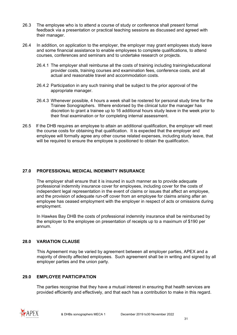- 26.3 The employee who is to attend a course of study or conference shall present formal feedback via a presentation or practical teaching sessions as discussed and agreed with their manager.
- 26.4 In addition, on application to the employer, the employer may grant employees study leave and some financial assistance to enable employees to complete qualifications, to attend courses, conferences and seminars and to undertake research or projects.
	- 26.4.1 The employer shall reimburse all the costs of training including training/educational provider costs, training courses and examination fees, conference costs, and all actual and reasonable travel and accommodation costs.
	- 26.4.2 Participation in any such training shall be subject to the prior approval of the appropriate manager.
	- 26.4.3 Whenever possible, 4 hours a week shall be rostered for personal study time for the Trainee Sonographers. Where endorsed by the clinical tutor the manager has discretion to grant a trainee up to 16 additional hours study leave in the week prior to their final examination or for completing internal assessment.
- 26.5 If the DHB requires an employee to attain an additional qualification, the employer will meet the course costs for obtaining that qualification. It is expected that the employer and employee will formally agree any other course related expenses, including study leave, that will be required to ensure the employee is positioned to obtain the qualification.

# <span id="page-30-0"></span>**27.0 PROFESSIONAL MEDICAL INDEMNITY INSURANCE**

The employer shall ensure that it is insured in such manner as to provide adequate professional indemnity insurance cover for employees, including cover for the costs of independent legal representation in the event of claims or issues that affect an employee, and the provision of adequate run-off cover from an employee for claims arising after an employee has ceased employment with the employer in respect of acts or omissions during employment.

In Hawkes Bay DHB the costs of professional indemnity insurance shall be reimbursed by the employer to the employee on presentation of receipts up to a maximum of \$190 per annum.

# <span id="page-30-1"></span>**28.0 VARIATION CLAUSE**

This Agreement may be varied by agreement between all employer parties, APEX and a majority of directly affected employees. Such agreement shall be in writing and signed by all employer parties and the union party.

# <span id="page-30-2"></span>**29.0 EMPLOYEE PARTICIPATION**

The parties recognise that they have a mutual interest in ensuring that health services are provided efficiently and effectively, and that each has a contribution to make in this regard.

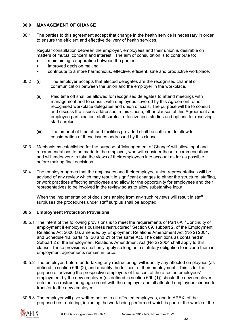# <span id="page-31-0"></span>**30.0 MANAGEMENT OF CHANGE**

30.1 The parties to this agreement accept that change in the health service is necessary in order to ensure the efficient and effective delivery of health services.

Regular consultation between the employer, employees and their union is desirable on matters of mutual concern and interest. The aim of consultation is to contribute to:

- maintaining co-operation between the parties
- improved decision making
- contribute to a more harmonious, effective, efficient, safe and productive workplace.
- 30.2 (i) The employer accepts that elected delegates are the recognised channel of communication between the union and the employer in the workplace.
	- (ii) Paid time off shall be allowed for recognised delegates to attend meetings with management and to consult with employees covered by this Agreement, other recognised workplace delegates and union officials. The purpose will be to consult and discuss the issues addressed in this clause, other clauses of this Agreement and employee participation, staff surplus, effectiveness studies and options for resolving staff surplus.
	- (iii) The amount of time off and facilities provided shall be sufficient to allow full consideration of these issues addressed by this clause.
- 30.3 Mechanisms established for the purpose of 'Management of Change' will allow input and recommendations to be made to the employer, who will consider these recommendations and will endeavour to take the views of their employees into account as far as possible before making final decisions.
- 30.4 The employer agrees that the employees and their employee union representatives will be advised of any review which may result in significant changes to either the structure, staffing, or work practices affecting employees and allow for the opportunity for employees and their representatives to be involved in the review so as to allow substantive input.

When the implementation of decisions arising from any such reviews will result in staff surpluses the procedures under staff surplus shall be adopted.

#### **30.5 Employment Protection Provisions**

- 30.5.1 The intent of the following provisions is to meet the requirements of Part 6A, "Continuity of employment if employer's business restructured" Section 69, subpart 2, of the Employment Relations Act 2000 (as amended by Employment Relations Amendment Act (No 2) 2004, and Schedule 1B, parts 19, 20 and 21 of the same Act. The definitions as contained in Subpart 2 of the Employment Relations Amendment Act (No 2) 2004 shall apply to this clause. These provisions shall only apply so long as a statutory obligation to include them in employment agreements remain in force.
- 30.5.2 The employer, before undertaking any restructuring, will identify any affected employees (as defined in section 69L (2), and quantify the full cost of their employment. This is for the purpose of advising the prospective employers of the cost of the affected employees' employment by the new employer (as defined in section 69L (1)) should the new employer enter into a restructuring agreement with the employer and all affected employees choose to transfer to the new employer.
- 30.5.3 The employer will give written notice to all affected employees, and to APEX, of the proposed restructuring, including the work being performed which is part or the whole of the

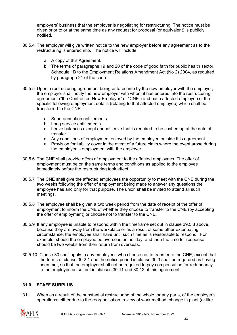employers' business that the employer is negotiating for restructuring. The notice must be given prior to or at the same time as any request for proposal (or equivalent) is publicly notified.

- 30.5.4 The employer will give written notice to the new employer before any agreement as to the restructuring is entered into. The notice will include:
	- a. A copy of this Agreement.
	- b. The terms of paragraphs 19 and 20 of the code of good faith for public health sector, Schedule 1B to the Employment Relations Amendment Act (No 2) 2004, as required by paragraph 21 of the code.
- 30.5.5 Upon a restructuring agreement being entered into by the new employer with the employer, the employer shall notify the new employer with whom it has entered into the restructuring agreement ("the Contracted New Employer" or "CNE") and each affected employee of the specific following employment details (relating to that affected employee) which shall be transferred to the CNE:
	- a Superannuation entitlements.
	- b Long service entitlements.
	- c. Leave balances except annual leave that is required to be cashed up at the date of transfer.
	- d. Any conditions of employment enjoyed by the employee outside this agreement.
	- e. Provision for liability cover in the event of a future claim where the event arose during the employee's employment with the employer.
- 30.5.6 The CNE shall provide offers of employment to the affected employees. The offer of employment must be on the same terms and conditions as applied to the employee immediately before the restructuring took effect.
- 30.5.7 The CNE shall give the affected employees the opportunity to meet with the CNE during the two weeks following the offer of employment being made to answer any questions the employee has and only for that purpose. The union shall be invited to attend all such meetings.
- 30.5.8 The employee shall be given a two week period from the date of receipt of the offer of employment to inform the CNE of whether they choose to transfer to the CNE (by accepting the offer of employment) or choose not to transfer to the CNE.
- 30.5.9 If any employee is unable to respond within the timeframe set out in clause 29.5.8 above, because they are away from the workplace or as a result of some other extenuating circumstance, the employee shall have until such time as is reasonable to respond. For example, should the employee be overseas on holiday, and then the time for response should be two weeks from their return from overseas.
- 30.5.10 Clause 30 shall apply to any employees who choose not to transfer to the CNE, except that the terms of clause 30.2.1 and the notice period in clause 30.3 shall be regarded as having been met, so that the employer shall not be required to pay compensation for redundancy to the employee as set out in clauses 30.11 and 30.12 of this agreement.

# <span id="page-32-0"></span>**31.0 STAFF SURPLUS**

31.1 When as a result of the substantial restructuring of the whole, or any parts, of the employer's operations; either due to the reorganisation, review of work method, change in plant (or like

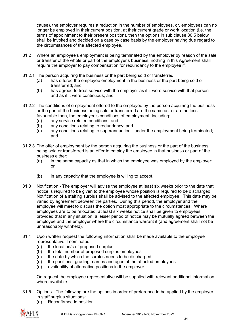cause), the employer requires a reduction in the number of employees, or, employees can no longer be employed in their current position, at their current grade or work location (i.e. the terms of appointment to their present position), then the options in sub clause 30.5 below shall be invoked and decided on a case by case basis by the employer having due regard to the circumstances of the affected employee.

- 31.2 Where an employee's employment is being terminated by the employer by reason of the sale or transfer of the whole or part of the employer's business, nothing in this Agreement shall require the employer to pay compensation for redundancy to the employee if:
- 31.2.1 The person acquiring the business or the part being sold or transferred
	- (a) has offered the employee employment in the business or the part being sold or transferred; and
	- (b) has agreed to treat service with the employer as if it were service with that person and as if it were continuous; and
- 31.2.2 The conditions of employment offered to the employee by the person acquiring the business or the part of the business being sold or transferred are the same as, or are no less favourable than, the employee's conditions of employment, including:
	- (a) any service related conditions; and
	- (b) any conditions relating to redundancy; and
	- (c) any conditions relating to superannuation under the employment being terminated; and
- 31.2.3 The offer of employment by the person acquiring the business or the part of the business being sold or transferred is an offer to employ the employee in that business or part of the business either:
	- (a) in the same capacity as that in which the employee was employed by the employer; or
	- (b) in any capacity that the employee is willing to accept.
- 31.3 Notification The employer will advise the employee at least six weeks prior to the date that notice is required to be given to the employee whose position is required to be discharged. Notification of a staffing surplus shall be advised to the affected employee. This date may be varied by agreement between the parties. During this period, the employer and the employee will meet to discuss the option most appropriate to the circumstances. Where employees are to be relocated, at least six weeks notice shall be given to employees, provided that in any situation, a lesser period of notice may be mutually agreed between the employee and the employer where the circumstance warrant it (and agreement shall not be unreasonably withheld).
- 31.4 Upon written request the following information shall be made available to the employee representative if nominated:
	- (a) the location/s of proposed surplus
	- (b) the total number of proposed surplus employees
	- (c) the date by which the surplus needs to be discharged
	- (d) the positions, grading, names and ages of the affected employees
	- (e) availability of alternative positions in the employer.

On request the employee representative will be supplied with relevant additional information where available.

- 31.5 Options The following are the options in order of preference to be applied by the employer in staff surplus situations:
	- (a) Reconfirmed in position

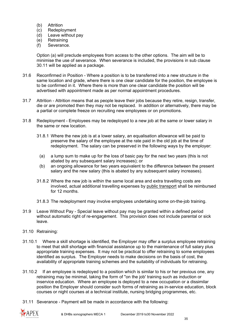- (b) Attrition
- (c) Redeployment
- (d) Leave without pay
- (e) Retraining
- (f) Severance.

Option (a) will preclude employees from access to the other options. The aim will be to minimise the use of severance. When severance is included, the provisions in sub clause 30.11 will be applied as a package.

- 31.6 Reconfirmed in Position Where a position is to be transferred into a new structure in the same location and grade, where there is one clear candidate for the position, the employee is to be confirmed in it. Where there is more than one clear candidate the position will be advertised with appointment made as per normal appointment procedures.
- 31.7 Attrition Attrition means that as people leave their jobs because they retire, resign, transfer, die or are promoted then they may not be replaced. In addition or alternatively, there may be a partial or complete freeze on recruiting new employees or on promotions.
- 31.8 Redeployment Employees may be redeployed to a new job at the same or lower salary in the same or new location.
	- 31.8.1 Where the new job is at a lower salary, an equalisation allowance will be paid to preserve the salary of the employee at the rate paid in the old job at the time of redeployment. The salary can be preserved in the following ways by the employer:
		- (a) a lump sum to make up for the loss of basic pay for the next two years (this is not abated by any subsequent salary increases); or
		- (b) an ongoing allowance for two years equivalent to the difference between the present salary and the new salary (this is abated by any subsequent salary increases).
	- 31.8.2 Where the new job is within the same local area and extra travelling costs are involved, actual additional travelling expenses by public transport shall be reimbursed for 12 months.
	- 31.8.3 The redeployment may involve employees undertaking some on-the-job training.
- 31.9 Leave Without Pay Special leave without pay may be granted within a defined period without automatic right of re-engagement. This provision does not include parental or sick leave.
- 31.10 Retraining:
- 31.10.1 Where a skill shortage is identified, the Employer may offer a surplus employee retraining to meet that skill shortage with financial assistance up to the maintenance of full salary plus appropriate training expenses. It may not be practical to offer retraining to some employees identified as surplus. The Employer needs to make decisions on the basis of cost, the availability of appropriate training schemes and the suitability of individuals for retraining.
- 31.10.2 If an employee is redeployed to a position which is similar to his or her previous one, any retraining may be minimal, taking the form of "on the job' training such as induction or inservice education. Where an employee is deployed to a new occupation or a dissimilar position the Employer should consider such forms of retraining as in-service education, block courses or night courses at a technical institute, nursing bridging programmes, etc.
- 31.11 Severance Payment will be made in accordance with the following:

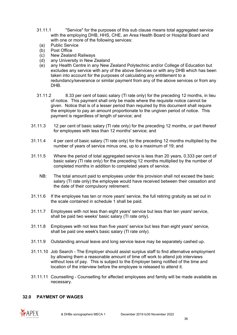- 31.11.1 "Service" for the purposes of this sub clause means total aggregated service with the employing DHB, HHS, CHE, an Area Health Board or Hospital Board and with one or more of the following services:
	- (a) Public Service
	- (b) Post Office
	- (c) New Zealand Railways
	- (d) any University in New Zealand
	- (e) any Health Centre in any New Zealand Polytechnic and/or College of Education but excludes any service with any of the above Services or with any DHB which has been taken into account for the purposes of calculating any entitlement to a redundancy/severance or similar payment from any of the above services or from any DHB.
- 31.11.2 8.33 per cent of basic salary (Tl rate only) for the preceding 12 months, in lieu of notice. This payment shall only be made where the requisite notice cannot be given. Notice that is of a lesser period than required by this document shall require the employer to pay an amount proportionate to the ungiven period of notice. This payment is regardless of length of service; and
- 31.11.3 12 per cent of basic salary (TI rate only) for the preceding 12 months, or part thereof for employees with less than 12 months' service; and
- 31.11.4 4 per cent of basic salary (Tl rate only) for the preceding 12 months multiplied by the number of years of service minus one, up to a maximum of 19; and
- 31.11.5 Where the period of total aggregated service is less than 20 years, 0.333 per cent of basic salary (Tl rate only) for the preceding 12 months multiplied by the number of completed months in addition to completed years of service.
	- NB: The total amount paid to employees under this provision shall not exceed the basic salary (Tl rate only) the employee would have received between their cessation and the date of their compulsory retirement.
- 31.11.6 If the employee has ten or more years' service, the full retiring gratuity as set out in the scale contained in schedule 1 shall be paid.
- 31.11.7 Employees with not less than eight years' service but less than ten years' service, shall be paid two weeks' basic salary (Tl rate only).
- 31.11.8 Employees with not less than five years' service but less than eight years' service, shall be paid one week's basic salary (Tl rate only).
- 31.11.9 Outstanding annual leave and long service leave may be separately cashed up.
- 31.11.10 Job Search The Employer should assist surplus staff to find alternative employment by allowing them a reasonable amount of time off work to attend job interviews without loss of pay. This is subject to the Employer being notified of the time and location of the interview before the employee is released to attend it.
- 31.11.11 Counselling Counselling for affected employees and family will be made available as necessary.

#### <span id="page-35-0"></span>**32.0 PAYMENT OF WAGES**

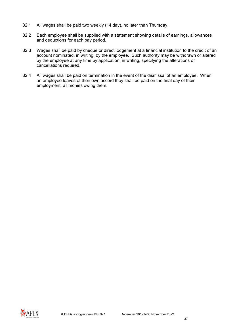- 32.1 All wages shall be paid two weekly (14 day), no later than Thursday.
- 32.2 Each employee shall be supplied with a statement showing details of earnings, allowances and deductions for each pay period.
- 32.3 Wages shall be paid by cheque or direct lodgement at a financial institution to the credit of an account nominated, in writing, by the employee. Such authority may be withdrawn or altered by the employee at any time by application, in writing, specifying the alterations or cancellations required.
- 32.4 All wages shall be paid on termination in the event of the dismissal of an employee. When an employee leaves of their own accord they shall be paid on the final day of their employment, all monies owing them.

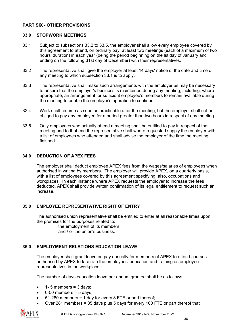#### **PART SIX - OTHER PROVISIONS**

#### **33.0 STOPWORK MEETINGS**

- 33.1 Subject to subsections 33.2 to 33.5, the employer shall allow every employee covered by this agreement to attend, on ordinary pay, at least two meetings (each of a maximum of two hours' duration) in each year (being the period beginning on the lst day of January and ending on the following 31st day of December) with their representatives.
- 33.2 The representative shall give the employer at least 14 days' notice of the date and time of any meeting to which subsection 33.1 is to apply.
- 33.3 The representative shall make such arrangements with the employer as may be necessary to ensure that the employer's business is maintained during any meeting, including, where appropriate, an arrangement for sufficient employee's members to remain available during the meeting to enable the employer's operation to continue.
- 32.4 Work shall resume as soon as practicable after the meeting, but the employer shall not be obliged to pay any employee for a period greater than two hours in respect of any meeting.
- 33.5 Only employees who actually attend a meeting shall be entitled to pay in respect of that meeting and to that end the representative shall where requested supply the employer with a list of employees who attended and shall advise the employer of the time the meeting finished.

#### **34.0 DEDUCTION OF APEX FEES**

The employer shall deduct employee APEX fees from the wages/salaries of employees when authorised in writing by members. The employer will provide APEX, on a quarterly basis, with a list of employees covered by this agreement specifying, also, occupations and workplaces. In each instance where APEX requests the employer to increase the fees deducted, APEX shall provide written confirmation of its legal entitlement to request such an increase.

#### **35.0 EMPLOYEE REPRESENTATIVE RIGHT OF ENTRY**

The authorised union representative shall be entitled to enter at all reasonable times upon the premises for the purposes related to:

- the employment of its members,
- and / or the union's business.

#### **36.0 EMPLOYMENT RELATIONS EDUCATION LEAVE**

The employer shall grant leave on pay annually for members of APEX to attend courses authorised by APEX to facilitate the employees' education and training as employee representatives in the workplace.

The number of days education leave per annum granted shall be as follows:

- 1- 5 members =  $3$  days;
- $6-50$  members = 5 days;
- 51-280 members = 1 day for every 8 FTE or part thereof;
- Over 281 members = 35 days plus 5 days for every 100 FTE or part thereof that

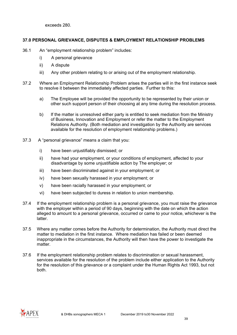exceeds 280.

#### **37.0 PERSONAL GRIEVANCE, DISPUTES & EMPLOYMENT RELATIONSHIP PROBLEMS**

- 36.1 An "employment relationship problem" includes:
	- i) A personal grievance
	- ii) A dispute
	- iii) Any other problem relating to or arising out of the employment relationship.
- 37.2 Where an Employment Relationship Problem arises the parties will in the first instance seek to resolve it between the immediately affected parties. Further to this:
	- a) The Employee will be provided the opportunity to be represented by their union or other such support person of their choosing at any time during the resolution process.
	- b) If the matter is unresolved either party is entitled to seek mediation from the Ministry of Business, Innovation and Employment or refer the matter to the Employment Relations Authority. (Both mediation and investigation by the Authority are services available for the resolution of employment relationship problems.)
- 37.3 A "personal grievance" means a claim that you:
	- i) have been unjustifiably dismissed; or
	- ii) have had your employment, or your conditions of employment, affected to your disadvantage by some unjustifiable action by The employer; or
	- iii) have been discriminated against in your employment; or
	- iv) have been sexually harassed in your employment; or
	- v) have been racially harassed in your employment; or
	- vi) have been subjected to duress in relation to union membership.
- 37.4 If the employment relationship problem is a personal grievance, you must raise the grievance with the employer within a period of 90 days, beginning with the date on which the action alleged to amount to a personal grievance, occurred or came to your notice, whichever is the latter.
- 37.5 Where any matter comes before the Authority for determination, the Authority must direct the matter to mediation in the first instance. Where mediation has failed or been deemed inappropriate in the circumstances, the Authority will then have the power to investigate the matter.
- 37.6 If the employment relationship problem relates to discrimination or sexual harassment, services available for the resolution of the problem include either application to the Authority for the resolution of this grievance or a complaint under the Human Rights Act 1993, but not both.

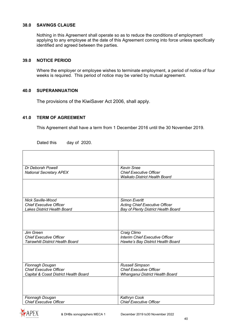#### **38.0 SAVINGS CLAUSE**

Nothing in this Agreement shall operate so as to reduce the conditions of employment applying to any employee at the date of this Agreement coming into force unless specifically identified and agreed between the parties.

#### **39.0 NOTICE PERIOD**

Where the employer or employee wishes to terminate employment, a period of notice of four weeks is required. This period of notice may be varied by mutual agreement.

#### **40.0 SUPERANNUATION**

The provisions of the KiwiSaver Act 2006, shall apply.

#### **41.0 TERM OF AGREEMENT**

 $\mathbf{r}$ 

This Agreement shall have a term from 1 December 2016 until the 30 November 2019.

| Dr Deborah Powell<br><b>National Secretary APEX</b>                                              | <b>Kevin Snee</b><br><b>Chief Executive Officer</b><br><b>Waikato District Health Board</b>          |
|--------------------------------------------------------------------------------------------------|------------------------------------------------------------------------------------------------------|
|                                                                                                  |                                                                                                      |
| <b>Nick Saville-Wood</b><br><b>Chief Executive Officer</b><br><b>Lakes District Health Board</b> | <b>Simon Everitt</b><br><b>Acting Chief Executive Officer</b><br>Bay of Plenty District Health Board |
|                                                                                                  |                                                                                                      |
| Jim Green<br><b>Chief Executive Officer</b><br>Tairawhiti District Health Board                  | Craig Climo<br>Interim Chief Executive Officer<br>Hawke's Bay District Health Board                  |
|                                                                                                  |                                                                                                      |
| Fionnagh Dougan<br><b>Chief Executive Officer</b><br>Capital & Coast District Health Board       | <b>Russell Simpson</b><br><b>Chief Executive Officer</b><br>Whanganui District Health Board          |
|                                                                                                  |                                                                                                      |
| Fionnagh Dougan<br><b>Chief Executive Officer</b>                                                | Kathryn Cook<br><b>Chief Executive Officer</b>                                                       |

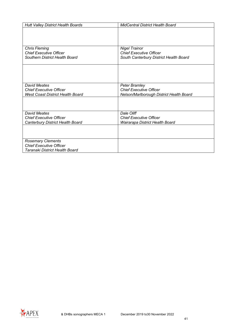| <b>Hutt Valley District Health Boards</b> | <b>MidCentral District Health Board</b>  |
|-------------------------------------------|------------------------------------------|
|                                           |                                          |
|                                           |                                          |
|                                           |                                          |
|                                           |                                          |
| <b>Chris Fleming</b>                      | <b>Nigel Trainor</b>                     |
| <b>Chief Executive Officer</b>            | <b>Chief Executive Officer</b>           |
| Southern District Health Board            | South Canterbury District Health Board   |
|                                           |                                          |
|                                           |                                          |
|                                           |                                          |
| <b>David Meates</b>                       | Peter Bramley                            |
| <b>Chief Executive Officer</b>            | <b>Chief Executive Officer</b>           |
| <b>West Coast District Health Board</b>   | Nelson/Marlborough District Health Board |
|                                           |                                          |
|                                           |                                          |
|                                           |                                          |
| David Meates                              | Dale Oliff                               |
| <b>Chief Executive Officer</b>            | <b>Chief Executive Officer</b>           |
| Canterbury District Health Board          | Wairarapa District Health Board          |
|                                           |                                          |
|                                           |                                          |
| <b>Rosemary Clements</b>                  |                                          |
| <b>Chief Executive Officer</b>            |                                          |
| Taranaki District Health Board            |                                          |

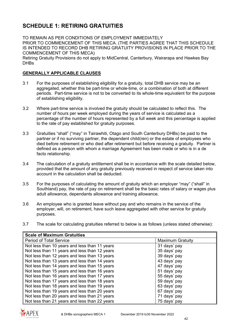# **SCHEDULE 1: RETIRING GRATUITIES**

TO REMAIN AS PER CONDITIONS OF EMPLOYMENT IMMEDIATELY PRIOR TO COMMENCEMENT OF THIS MECA. (THE PARTIES AGREE THAT THIS SCHEDULE IS INTENDED TO RECORD DHB RETIRING GRATUITY PROVISIONS IN PLACE PRIOR TO THE COMMENCEMENT OF THIS MECA) Retiring Gratuity Provisions do not apply to MidCentral, Canterbury, Wairarapa and Hawkes Bay **DHBs** 

#### **GENERALLY APPLICABLE CLAUSES**

- 3.1 For the purposes of establishing eligibility for a gratuity, total DHB service may be an aggregated, whether this be part-time or whole-time, or a combination of both at different periods. Part-time service is not to be converted to its whole-time equivalent for the purpose of establishing eligibility.
- 3.2 Where part-time service is involved the gratuity should be calculated to reflect this. The number of hours per week employed during the years of service is calculated as a percentage of the number of hours represented by a full week and this percentage is applied to the rate of pay established for gratuity purposes.
- 3.3 Gratuities "shall" ("may" in Tairawhiti, Otago and South Canterbury DHBs) be paid to the partner or if no surviving partner, the dependent child(ren) or the estate of employees who died before retirement or who died after retirement but before receiving a gratuity. Partner is defined as a person with whom a marriage Agreement has been made or who is in a de facto relationship.
- 3.4 The calculation of a gratuity entitlement shall be in accordance with the scale detailed below, provided that the amount of any gratuity previously received in respect of service taken into account in the calculation shall be deducted.
- 3.5 For the purposes of calculating the amount of gratuity which an employer "may" ("shall" in Southland) pay, the rate of pay on retirement shall be the basic rates of salary or wages plus adult allowance, dependants allowance and training allowance.
- 3.6 An employee who is granted leave without pay and who remains in the service of the employer, will, on retirement, have such leave aggregated with other service for gratuity purposes.
- 3.7 The scale for calculating gratuities referred to below is as follows (unless stated otherwise):

| <b>Scale of Maximum Gratuities</b>            |                         |
|-----------------------------------------------|-------------------------|
| <b>Period of Total Service</b>                | <b>Maximum Gratuity</b> |
| Not less than 10 years and less than 11 years | 31 days' pay            |
| Not less than 11 years and less than 12 years | 35 days' pay            |
| Not less than 12 years and less than 13 years | 39 days' pay            |
| Not less than 13 years and less than 14 years | 43 days' pay            |
| Not less than 14 years and less than 15 years | 47 days' pay            |
| Not less than 15 years and less than 16 years | 51 days' pay            |
| Not less than 16 years and less than 17 years | 55 days' pay            |
| Not less than 17 years and less than 18 years | 59 days' pay            |
| Not less than 18 years and less than 19 years | 63 days' pay            |
| Not less than 19 years and less than 20 years | 67 days' pay            |
| Not less than 20 years and less than 21 years | 71 days' pay            |
| Not less than 21 years and less than 22 years | 75 days' pay            |

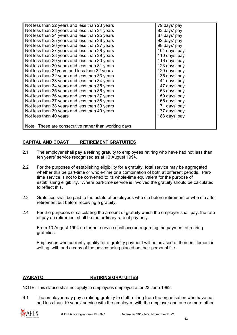| Not less than 22 years and less than 23 years         | 79 days' pay  |
|-------------------------------------------------------|---------------|
| Not less than 23 years and less than 24 years         | 83 days' pay  |
| Not less than 24 years and less than 25 years         | 87 days' pay  |
| Not less than 25 years and less than 26 years         | 92 days' pay  |
| Not less than 26 years and less than 27 years         | 98 days' pay  |
| Not less than 27 years and less than 28 years         | 104 days' pay |
| Not less than 28 years and less than 29 years         | 110 days' pay |
| Not less than 29 years and less than 30 years         | 116 days' pay |
| Not less than 30 years and less than 31 years         | 123 days' pay |
| Not less than 31 years and less than 32 years         | 129 days' pay |
| Not less than 32 years and less than 33 years         | 135 days' pay |
| Not less than 33 years and less than 34 years         | 141 days' pay |
| Not less than 34 years and less than 35 years         | 147 days' pay |
| Not less than 35 years and less than 36 years         | 153 days' pay |
| Not less than 36 years and less than 37 years         | 159 days' pay |
| Not less than 37 years and less than 38 years         | 165 days' pay |
| Not less than 38 years and less than 39 years         | 171 days' pay |
| Not less than 39 years and less than 40 years         | 177 days' pay |
| Not less than 40 years                                | 183 days' pay |
|                                                       |               |
| Note: These are consecutive rather than working days. |               |

#### **CAPITAL AND COAST RETIREMENT GRATUITIES**

- 2.1 The employer shall pay a retiring gratuity to employees retiring who have had not less than ten years' service recognised as at 10 August 1994.
- 2.2 For the purposes of establishing eligibility for a gratuity, total service may be aggregated whether this be part-time or whole-time or a combination of both at different periods. Parttime service is not to be converted to its whole-time equivalent for the purpose of establishing eligibility. Where part-time service is involved the gratuity should be calculated to reflect this.
- 2.3 Gratuities shall be paid to the estate of employees who die before retirement or who die after retirement but before receiving a gratuity.
- 2.4 For the purposes of calculating the amount of gratuity which the employer shall pay, the rate of pay on retirement shall be the ordinary rate of pay only.

From 10 August 1994 no further service shall accrue regarding the payment of retiring gratuities.

Employees who currently qualify for a gratuity payment will be advised of their entitlement in writing, with and a copy of the advice being placed on their personal file.

#### **WAIKATO RETIRING GRATUITIES**

NOTE: This clause shall not apply to employees employed after 23 June 1992.

6.1 The employer may pay a retiring gratuity to staff retiring from the organisation who have not had less than 10 years' service with the employer, with the employer and one or more other

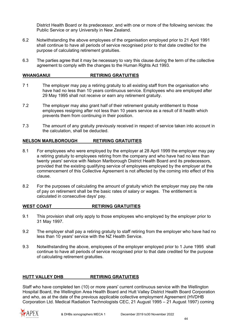District Health Board or its predecessor, and with one or more of the following services: the Public Service or any University in New Zealand.

- 6.2 Notwithstanding the above employees of the organisation employed prior to 21 April 1991 shall continue to have all periods of service recognised prior to that date credited for the purpose of calculating retirement gratuities.
- 6.3 The parties agree that it may be necessary to vary this clause during the term of the collective agreement to comply with the changes to the Human Rights Act 1993.

#### **WHANGANUI RETIRING GRATUITIES**

- 7 1 The employer may pay a retiring gratuity to all existing staff from the organisation who have had no less than 10 years continuous service. Employees who are employed after 29 May 1995 shall not receive or earn any retirement gratuity.
- 7.2 The employer may also grant half of their retirement gratuity entitlement to those employees resigning after not less than 10 years service as a result of ill health which prevents them from continuing in their position.
- 7.3 The amount of any gratuity previously received in respect of service taken into account in the calculation, shall be deducted.

#### **NELSON MARLBOROUGH RETIRING GRATUITIES**

- 8.1 For employees who were employed by the employer at 28 April 1999 the employer may pay a retiring gratuity to employees retiring from the company and who have had no less than twenty years' service with Nelson Marlborough District Health Board and its predecessors, provided that the existing qualifying service of employees employed by the employer at the commencement of this Collective Agreement is not affected by the coming into effect of this clause.
- 8.2 For the purposes of calculating the amount of gratuity which the employer may pay the rate of pay on retirement shall be the basic rates of salary or wages. The entitlement is calculated in consecutive days' pay.

#### WEST COAST **RETIRING GRATUITIES**

- 9.1 This provision shall only apply to those employees who employed by the employer prior to 31 May 1997.
- 9.2 The employer shall pay a retiring gratuity to staff retiring from the employer who have had no less than 10 years' service with the NZ Health Service.
- 9.3 Notwithstanding the above, employees of the employer employed prior to 1 June 1995 shall continue to have all periods of service recognised prior to that date credited for the purpose of calculating retirement gratuities.

#### **HUTT VALLEY DHB RETIRING GRATUITIES**

Staff who have completed ten (10) or more years' current continuous service with the Wellington Hospital Board, the Wellington Area Health Board and Hutt Valley District Health Board Corporation and who, as at the date of the previous applicable collective employment Agreement (HVDHB Corporation Ltd. Medical Radiation Technologists CEC, 21 August 1995 – 21 August 1997) coming

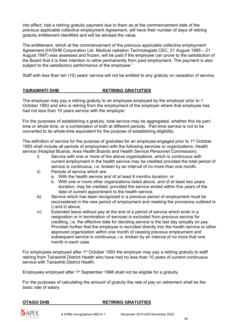into effect, had a retiring gratuity payment due to them as at the commencement date of the previous applicable collective employment Agreement, will have their number of days of retiring gratuity entitlement identified and will be advised the value.

The entitlement, which at the commencement of the previous applicable collective employment Agreement (HVDHB Corporation Ltd. Medical radiation Technologists CEC, 21 August 1995 – 21 August 1997) was assessed and frozen, will be paid if the employee can prove to the satisfaction of the Board that it is their intention to retire permanently from paid employment. The payment is also subject to the satisfactory performance of the employee."

Staff with less than ten (10) years' service will not be entitled to any gratuity on cessation of service.

#### **TAIRAWHITI DHB RETIRING GRATUITIES**

The employer may pay a retiring gratuity to an employee employed by the employer prior to 1 October 1993 and who is retiring from the employment of the employer where that employee has had not less than 10 years service with the employer.

For the purposes of establishing a gratuity, total service may be aggregated, whether this be parttime or whole time, or a combination of both at different periods. Part-time service is not to be converted to its whole-time equivalent for the purpose of establishing eligibility.

The definition of service for the purpose of gratuities for an employee engaged prior to 1<sup>st</sup> October 1993 shall include all periods of employment with the following services or organizations: Health service (Hospital Boards, Area Health Boards and Health Service Personnel Commission).

- i) Service with one or more of the above organisations, which is continuous with current employment in the health service may be credited provided the total period of service is continuous, i.e. broken by an interval of no more than one month.
- ii) Periods of service which are:
	- a. With the health service and of at least 6 months duration; or
	- b. With one or more other organizations listed above, and of at least two years duration; may be credited, provided the service ended within five years of the date of current appointment to the health service.
- iii) Service which has been recognized in a previous period of employment must be reconsidered in the new period of employment and meeting the provisions outlined in i) and ii) above.
- iv) Extended leave without pay at the end of a period of service which ends in a resignation or in termination of services is excluded from previous service for crediting, i.e. the effective date for deciding service is the last day actually on pay. Provided further that the employee is recruited directly into the health service or other approved organization within one month of ceasing previous employment and subsequent service is continuous, i.e. broken by an interval of no more that one month in each case.

For employees employed after 1<sup>st</sup> October 1993 the employer may pay a retiring gratuity to staff retiring from Tairawhiti District Health who have had no less than 10 years of current continuous service with Tairawhiti District Health.

Employees employed after  $1<sup>st</sup>$  September 1998 shall not be eligible for a gratuity.

For the purposes of calculating the amount of gratuity the rate of pay on retirement shall be the basic rate of salary.

#### **OTAGO DHB** RETIRING GRATUITIES

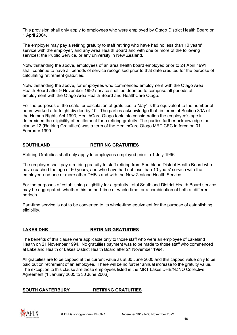This provision shall only apply to employees who were employed by Otago District Health Board on 1 April 2004.

The employer may pay a retiring gratuity to staff retiring who have had no less than 10 years' service with the employer, and any Area Health Board and with one or more of the following services: the Public Service, or any university in New Zealand.

Notwithstanding the above, employees of an area health board employed prior to 24 April 1991 shall continue to have all periods of service recognised prior to that date credited for the purpose of calculating retirement gratuities.

Notwithstanding the above, for employees who commenced employment with the Otago Area Health Board after 9 November 1992 service shall be deemed to comprise all periods of employment with the Otago Area Health Board and HealthCare Otago.

For the purposes of the scale for calculation of gratuities, a "day" is the equivalent to the number of hours worked a fortnight divided by 10. The parties acknowledge that, in terms of Section 30A of the Human Rights Act 1993, HealthCare Otago took into consideration the employee's age in determined the eligibility of entitlement for a retiring gratuity. The parties further acknowledge that clause 12 (Retiring Gratuities) was a term of the HealthCare Otago MRT CEC in force on 01 February 1999.

#### **SOUTHLAND RETIRING GRATUITIES**

Retiring Gratuities shall only apply to employees employed prior to 1 July 1996.

The employer shall pay a retiring gratuity to staff retiring from Southland District Health Board who have reached the age of 60 years, and who have had not less than 10 years' service with the employer, and one or more other DHB's and with the New Zealand Health Service.

For the purposes of establishing eligibility for a gratuity, total Southland District Health Board service may be aggregated, whether this be part-time or whole-time, or a combination of both at different periods.

Part-time service is not to be converted to its whole-time equivalent for the purpose of establishing eligibility.

#### **LAKES DHB RETIRING GRATUITIES**

The benefits of this clause were applicable only to those staff who were an employee of Lakeland Health on 21 November 1994. No gratuities payment was to be made to those staff who commenced at Lakeland Health or Lakes District Health Board after 21 November 1994.

All gratuities are to be capped at the current value as at 30 June 2000 and this capped value only to be paid out on retirement of an employee. There will be no further annual increase to the gratuity value. The exception to this clause are those employees listed in the MRT Lakes DHB/NZNO Collective Agreement (1 January 2005 to 30 June 2006).

#### **SOUTH CANTERBURY RETIRING GRATUITIES**

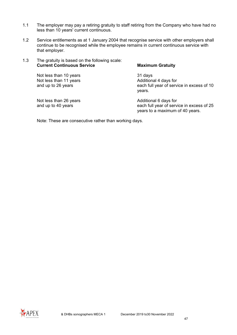- 1.1 The employer may pay a retiring gratuity to staff retiring from the Company who have had no less than 10 years' current continuous.
- 1.2 Service entitlements as at 1 January 2004 that recognise service with other employers shall continue to be recognised while the employee remains in current continuous service with that employer.
- 1.3 The gratuity is based on the following scale: **Current Continuous Service Maximum Gratuity**

Not less than 11 years<br>and up to 26 years

Not less than 10 years<br>
Not less than 11 years<br>
Not less than 11 years<br>
Not less than 11 years each full year of service in excess of 10 years.

Not less than 26 years<br>
and up to 40 years<br>
Additional 6 days for<br>
and up to 40 years each full year of service in excess of 25 years to a maximum of 40 years.

Note: These are consecutive rather than working days.

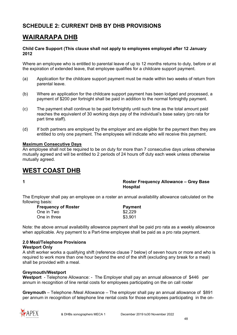# **SCHEDULE 2: CURRENT DHB BY DHB PROVISIONS**

# **WAIRARAPA DHB**

#### **Child Care Support (This clause shall not apply to employees employed after 12 January 2012**

Where an employee who is entitled to parental leave of up to 12 months returns to duty, before or at the expiration of extended leave, that employee qualifies for a childcare support payment.

- (a) Application for the childcare support payment must be made within two weeks of return from parental leave.
- (b) Where an application for the childcare support payment has been lodged and processed, a payment of \$200 per fortnight shall be paid in addition to the normal fortnightly payment.
- (c) The payment shall continue to be paid fortnightly until such time as the total amount paid reaches the equivalent of 30 working days pay of the individual's base salary (pro rata for part time staff).
- (d) If both partners are employed by the employer and are eligible for the payment then they are entitled to only one payment. The employees will indicate who will receive this payment.

#### **Maximum Consecutive Days**

An employee shall not be required to be on duty for more than 7 consecutive days unless otherwise mutually agreed and will be entitled to 2 periods of 24 hours off duty each week unless otherwise mutually agreed.

# **WEST COAST DHB**

**1 Roster Frequency Allowance – Grey Base Hospital** 

The Employer shall pay an employee on a roster an annual availability allowance calculated on the following basis:

| <b>Frequency of Roster</b> | <b>Payment</b> |
|----------------------------|----------------|
| One in Two                 | \$2,229        |
| One in three               | \$3,901        |

Note: the above annual availability allowance payment shall be paid pro rata as a weekly allowance when applicable. Any payment to a Part-time employee shall be paid as a pro rata payment.

#### **2.0 Meal/Telephone Provisions**

#### **Westport Only**

A shift worker works a qualifying shift (reference clause 7 below) of seven hours or more and who is required to work more than one hour beyond the end of the shift (excluding any break for a meal) shall be provided with a meal.

#### **Greymouth/Westport**

**Westport** - Telephone Allowance: - The Employer shall pay an annual allowance of \$446 per annum in recognition of line rental costs for employees participating on the on call roster

**Greymouth** – Telephone /Meal Allowance – The employer shall pay an annual allowance of \$891 per annum in recognition of telephone line rental costs for those employees participating in the on-

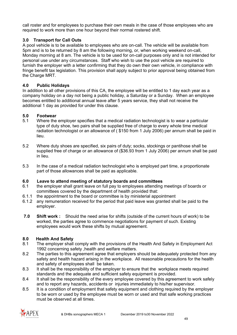call roster and for employees to purchase their own meals in the case of those employees who are required to work more than one hour beyond their normal rostered shift.

#### **3.0 Transport for Call Outs**

A pool vehicle is to be available to employees who are on-call. The vehicle will be available from 5pm and is to be returned by 8 am the following morning, or, when working weekend on-call, Monday morning at 8 am. The vehicle is to be used for on-call purposes only and is not intended for personal use under any circumstances. Staff who wish to use the pool vehicle are required to furnish the employer with a letter confirming that they do own their own vehicle, in compliance with fringe benefit tax legislation. This provision shall apply subject to prior approval being obtained from the Charge MRT.

#### **4.0 Public Holidays**

In addition to all other provisions of this CA, the employee will be entitled to 1 day each year as a company holiday on a day not being a public holiday, a Saturday or a Sunday. When an employee becomes entitled to additional annual leave after 5 years service, they shall not receive the additional 1 day as provided for under this clause.

#### **5.0 Footwear**

- 5.1 Where the employer specifies that a medical radiation technologist is to wear a particular type of duty shoe, two pairs shall be supplied free of charge to every whole time medical radiation technologist or an allowance of ( \$150 from 1 July 2006) per annum shall be paid in lieu.
- 5.2 Where duty shoes are specified, six pairs of duty; socks, stockings or pantihose shall be supplied free of charge or an allowance of (\$36.93 from 1 July 2006) per annum shall be paid in lieu.
- 5.3 In the case of a medical radiation technologist who is employed part time, a proportionate part of those allowances shall be paid as applicable.

# **6.0 Leave to attend meeting of statutory boards and committees**

- 6.1 the employer shall grant leave on full pay to employees attending meetings of boards or committees covered by the department of health provided that:
- 6.1.1 the appointment to the board or committee is by ministerial appointment
- 6.1.2 any remuneration received for the period that paid leave was granted shall be paid to the employer.
- **7.0 Shift work :** Should the need arise for shifts (outside of the current hours of work) to be worked, the parties agree to commence negotiations for payment of such. Existing employees would work these shifts by mutual agreement.

#### **8.0 Health And Safety**

- 8.1 The employer shall comply with the provisions of the Health And Safety in Employment Act 1992 concerning safety ,health and welfare matters.
- 8.2 The parties to this agreement agree that employers should be adequately protected from any safety and health hazard arising in the workplace. All reasonable precautions for the health and safety of employees shall be taken.
- 8.3 It shall be the responsibility of the employer to ensure that the workplace meets required standards and the adequate and sufficient safety equipment is provided.
- 8.4 It shall be the responsibility of the every employee covered by this agreement to work safely and to report any hazards, accidents or injuries immediately to his/her supervisor.
- 8.5 It is a condition of employment that safety equipment and clothing required by the employer to be worn or used by the employee must be worn or used and that safe working practices must be observed at all times.

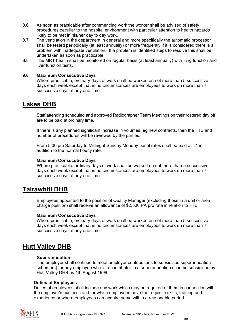- 8.6 As soon as practicable after commencing work the worker shall be advised of safety procedures peculiar to the hospital environment with particular attention to health hazards likely to be met in his/her day to day work.
- 8.7 The ventilation in the department in general and more specifically the automatic processor shall be tested periodically (at least annually) or more frequently if it is considered there is a problem with inadequate ventilation. If a problem is identified steps to resolve this shall be undertaken as soon as practicable.
- 8.8 The MRT health shall be monitored on regular basis (at least annually) with lung function and liver function tests.

#### **9.0 Maximum Consecutive Days**

Where practicable, ordinary days of work shall be worked on not more than 5 successive days each week except that in no circumstances are employees to work on more than 7 successive days at any one time.

# **Lakes DHB**

Staff attending scheduled and approved Radiographer Team Meetings on their rostered day off are to be paid at ordinary time.

If there is any planned significant increase in volumes, eg new contracts, then the FTE and number of procedures will be reviewed by the parties.

From 5.00 pm Saturday to Midnight Sunday Monday penal rates shall be paid at T1 in addition to the normal hourly rate.

#### **Maximum Consecutive Days**

Where practicable, ordinary days of work shall be worked on not more than 5 successive days each week except that in no circumstances are employees to work on more than 7 successive days at any one time.

# **Tairawhiti DHB**

Employees appointed to the position of Quality Manager (excluding those in a unit or area charge position) shall receive an allowance of \$2,500 PA pro rata in relation to FTE.

#### **Maximum Consecutive Days**

Where practicable, ordinary days of work shall be worked on not more than 5 successive days each week except that in no circumstances are employees to work on more than 7 successive days at any one time.

# **Hutt Valley DHB**

#### **Superannuation**

The employer shall continue to meet employer contributions to subsidised superannuation scheme(s) for any employee who is a contributor to a superannuation scheme subsidised by Hutt Valley DHB as 4th August 1999.

#### **Duties of Employees**

Duties of employees shall include any work which may be required of them in connection with the employer's business and for which employees have the requisite skills, training and experience or where employees can acquire same within a reasonable period.

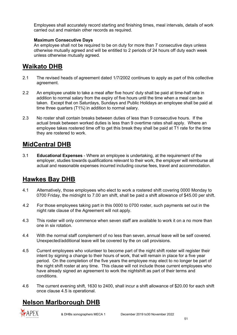Employees shall accurately record starting and finishing times, meal intervals, details of work carried out and maintain other records as required.

#### **Maximum Consecutive Days**

An employee shall not be required to be on duty for more than 7 consecutive days unless otherwise mutually agreed and will be entitled to 2 periods of 24 hours off duty each week unless otherwise mutually agreed.

# **Waikato DHB**

- 2.1 The revised heads of agreement dated 1/7/2002 continues to apply as part of this collective agreement.
- 2.2 An employee unable to take a meal after five hours' duty shall be paid at time-half rate in addition to normal salary from the expiry of five hours until the time when a meal can be taken. Except that on Saturdays, Sundays and Public Holidays an employee shall be paid at time three quarters (T1¾) in addition to normal salary.
- 2.3 No roster shall contain breaks between duties of less than 9 consecutive hours. If the actual break between worked duties is less than 9 overtime rates shall apply. Where an employee takes rostered time off to get this break they shall be paid at T1 rate for the time they are rostered to work.

# **MidCentral DHB**

3.1 **Educational Expenses** - Where an employee is undertaking, at the requirement of the employer, studies towards qualifications relevant to their work, the employer will reimburse all actual and reasonable expenses incurred including course fees, travel and accommodation.

# **Hawkes Bay DHB**

- 4.1 Alternatively, those employees who elect to work a rostered shift covering 0000 Monday to 0700 Friday, the midnight to 7.00 am shift, shall be paid a shift allowance of \$45.00 per shift.
- 4.2 For those employees taking part in this 0000 to 0700 roster, such payments set out in the night rate clause of the Agreement will not apply.
- 4.3 This roster will only commence when seven staff are available to work it on a no more than one in six rotation.
- 4.4 With the normal staff complement of no less than seven, annual leave will be self covered. Unexpected/additional leave will be covered by the on call provisions.
- 4.5 Current employees who volunteer to become part of the night shift roster will register their intent by signing a change to their hours of work, that will remain in place for a five year period. On the completion of the five years the employee may elect to no longer be part of the night shift roster at any time. This clause will not include those current employees who have already signed an agreement to work the nightshift as part of their terms and conditions.
- 4.6 The current evening shift, 1630 to 2400, shall incur a shift allowance of \$20.00 for each shift once clause 4.5 is operational.

# **Nelson Marlborough DHB**

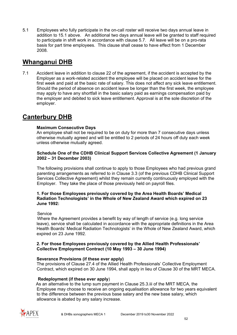5.1 Employees who fully participate in the on-call roster will receive two days annual leave in addition to 15.1 above. An additional two days annual leave will be granted to staff required to participate in shift work in accordance with clause 5.7. All leave will be on a pro-rata basis for part time employees. This clause shall cease to have effect from 1 December 2008.

# **Whanganui DHB**

7.1 Accident leave in addition to clause 22 of the agreement, if the accident is accepted by the Employer as a work-related accident the employee will be placed on accident leave for the first week and paid at the basic rate of salary. This does not affect any sick leave entitlement. Should the period of absence on accident leave be longer than the first week, the employee may apply to have any shortfall in the basic salary paid as earnings compensation paid by the employer and debited to sick leave entitlement. Approval is at the sole discretion of the employer.

# **Canterbury DHB**

#### **Maximum Consecutive Days**

An employee shall not be required to be on duty for more than 7 consecutive days unless otherwise mutually agreed and will be entitled to 2 periods of 24 hours off duty each week unless otherwise mutually agreed.

#### **Schedule One of the CDHB Clinical Support Services Collective Agreement (1 January 2002 – 31 December 2003)**

The following provisions shall continue to apply to those Employees who had previous grand parenting arrangements as referred to in Clause 3.3 (of the previous CDHB Clinical Support Services Collective Agreement) whilst they remain currently continuously employed with the Employer. They take the place of those previously held on payroll files.

#### **1. For those Employees previously covered by the Area Health Boards' Medical Radiation Technologists' in the Whole of New Zealand Award which expired on 23 June 1992:**

#### **Service**

 Where the Agreement provides a benefit by way of length of service (e.g. long service leave), service shall be calculated in accordance with the appropriate definitions in the Area Health Boards' Medical Radiation Technologists' in the Whole of New Zealand Award, which expired on 23 June 1992.

#### **2. For those Employees previously covered by the Allied Health Professionals' Collective Employment Contract (10 May 1993 – 30 June 1994)**

#### **Severance Provisions (if these ever apply)**

The provisions of Clause 27.4 of the Allied Health Professionals' Collective Employment Contract, which expired on 30 June 1994, shall apply in lieu of Clause 30 of the MRT MECA.

#### **Redeployment (if these ever apply**)

As an alternative to the lump sum payment in Clause 25.3.iii of the MRT MECA, the Employee may choose to receive an ongoing equalisation allowance for two years equivalent to the difference between the previous base salary and the new base salary, which allowance is abated by any salary increase.

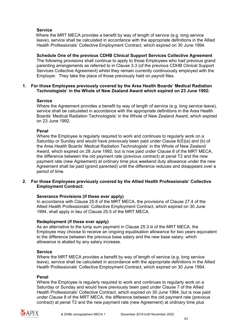#### **Service**

 Where the MRT MECA provides a benefit by way of length of service (e.g. long service leave), service shall be calculated in accordance with the appropriate definitions in the Allied Health Professionals' Collective Employment Contract, which expired on 30 June 1994.

**Schedule One of the previous CDHB Clinical Support Services Collective Agreement** The following provisions shall continue to apply to those Employees who had previous grand parenting arrangements as referred to in Clause 3.3 (of the previous CDHB Clinical Support Services Collective Agreement) whilst they remain currently continuously employed with the Employer. They take the place of those previously held on payroll files.

#### **1. For those Employees previously covered by the Area Health Boards' Medical Radiation Technologists' in the Whole of New Zealand Award which expired on 23 June 1992:**

#### **Service**

Where the Agreement provides a benefit by way of length of service (e.g. long service leave), service shall be calculated in accordance with the appropriate definitions in the Area Health Boards' Medical Radiation Technologists' in the Whole of New Zealand Award, which expired on 23 June 1992.

#### **Penal**

Where the Employee is regularly required to work and continues to regularly work on a Saturday or Sunday and would have previously been paid under Clause 6(5)(a) and (b) of the Area Health Boards' Medical Radiation Technologists' in the Whole of New Zealand Award, which expired on 28 June 1992, but is now paid under Clause 8 of the MRT MECA, the difference between the old payment rate (previous contract) at penal T2 and the new payment rate (new Agreement) at ordinary time plus weekend duty allowance under the new Agreement shall be paid (grand parented) until the difference reduces and disappears over a period of time.

#### **2. For those Employees previously covered by the Allied Health Professionals' Collective Employment Contract:**

#### **Severance Provisions (if these ever apply)**

In accordance with Clause 25.8 of the MRT MECA, the provisions of Clause 27.4 of the Allied Health Professionals' Collective Employment Contract, which expired on 30 June 1994, shall apply in lieu of Clause 25.5 of the MRT MECA.

#### **Redeployment (if these ever apply)**

As an alternative to the lump sum payment in Clause 25.3.iii of the MRT MECA, the Employee may choose to receive an ongoing equalisation allowance for two years equivalent to the difference between the previous base salary and the new base salary, which allowance is abated by any salary increase.

#### **Service**

Where the MRT MECA provides a benefit by way of length of service (e.g. long service leave), service shall be calculated in accordance with the appropriate definitions in the Allied Health Professionals' Collective Employment Contract, which expired on 30 June 1994.

#### **Penal**

Where the Employee is regularly required to work and continues to regularly work on a Saturday or Sunday and would have previously been paid under Clause 7 of the Allied Health Professionals' Collective Contract, which expired on 30 June 1994, but is now paid under Clause 8 of the MRT MECA, the difference between the old payment rate (previous contract) at penal T2 and the new payment rate (new Agreement) at ordinary time plus

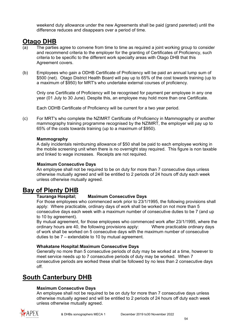weekend duty allowance under the new Agreements shall be paid (grand parented) until the difference reduces and disappears over a period of time.

# **Otago DHB**

- The parties agree to convene from time to time as required a joint working group to consider and recommend criteria to the employer for the granting of Certificates of Proficiency, such criteria to be specific to the different work specialty areas with Otago DHB that this Agreement covers.
- (b) Employees who gain a ODHB Certificate of Proficiency will be paid an annual lump sum of \$500 (net). Otago District Health Board will pay up to 65% of the cost towards training (up to a maximum of \$950) for MRT's who undertake external courses of proficiency.

Only one Certificate of Proficiency will be recognised for payment per employee in any one year (01 July to 30 June). Despite this, an employee may hold more than one Certificate.

Each ODHB Certificate of Proficiency will be current for a two year period.

(c) For MRT's who complete the NZIMRT Certificate of Proficiency in Mammography or another mammography training programme recognised by the NZIMRT, the employer will pay up to 65% of the costs towards training (up to a maximum of \$950).

#### **Mammography**

A daily incidentals reimbursing allowance of \$50 shall be paid to each employee working in the mobile screening unit when there is no overnight stay required. This figure is non taxable and linked to wage increases. Receipts are not required.

#### **Maximum Consecutive Days**

An employee shall not be required to be on duty for more than 7 consecutive days unless otherwise mutually agreed and will be entitled to 2 periods of 24 hours off duty each week unless otherwise mutually agreed.

# **Bay of Plenty DHB**

#### **Tauranga Hospital; Maximum Consecutive Days**

For those employees who commenced work prior to 23/1/1995, the following provisions shall apply: Where practicable, ordinary days of work shall be worked on not more than 5 consecutive days each week with a maximum number of consecutive duties to be 7 (and up to 10 by agreement).

By mutual agreement, for those employees who commenced work after 23/1/1995, where the ordinary hours are 40, the following provisions apply: Where practicable ordinary days of work shall be worked on 5 consecutive days with the maximum number of consecutive duties to be 7 – extendable to 10 by mutual agreement.

#### **Whakatane Hospital:Maximum Consecutive Days**

Generally no more than 5 consecutive periods of duty may be worked at a time, however to meet service needs up to 7 consecutive periods of duty may be worked. When 7 consecutive periods are worked these shall be followed by no less than 2 consecutive days off.

# **South Canterbury DHB**

#### **Maximum Consecutive Days**

An employee shall not be required to be on duty for more than 7 consecutive days unless otherwise mutually agreed and will be entitled to 2 periods of 24 hours off duty each week unless otherwise mutually agreed.

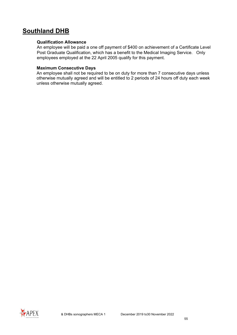# **Southland DHB**

#### **Qualification Allowance**

An employee will be paid a one off payment of \$400 on achievement of a Certificate Level Post Graduate Qualification, which has a benefit to the Medical Imaging Service. Only employees employed at the 22 April 2005 qualify for this payment.

#### **Maximum Consecutive Days**

An employee shall not be required to be on duty for more than 7 consecutive days unless otherwise mutually agreed and will be entitled to 2 periods of 24 hours off duty each week unless otherwise mutually agreed.

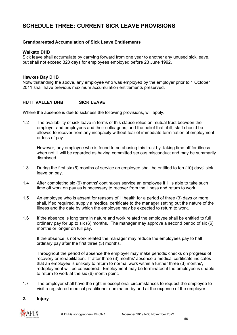# **SCHEDULE THREE: CURRENT SICK LEAVE PROVISIONS**

#### **Grandparented Accumulation of Sick Leave Entitlements**

#### **Waikato DHB**

Sick leave shall accumulate by carrying forward from one year to another any unused sick leave, but shall not exceed 320 days for employees employed before 23 June 1992.

#### **Hawkes Bay DHB**

Notwithstanding the above, any employee who was employed by the employer prior to 1 October 2011 shall have previous maximum accumulation entitlements preserved.

#### **HUTT VALLEY DHB SICK LEAVE**

Where the absence is due to sickness the following provisions, will apply.

1.2 The availability of sick leave in terms of this clause relies on mutual trust between the employer and employees and their colleagues, and the belief that, if ill, staff should be allowed to recover from any incapacity without fear of immediate termination of employment or loss of pay.

However, any employee who is found to be abusing this trust by taking time off for illness when not ill will be regarded as having committed serious misconduct and may be summarily dismissed.

- 1.3 During the first six (6) months of service an employee shall be entitled to ten (10) days' sick leave on pay.
- 1.4 After completing six (6) months' continuous service an employee if ill is able to take such time off work on pay as is necessary to recover from the illness and return to work.
- 1.5 An employee who is absent for reasons of ill health for a period of three (3) days or more shall, if so required, supply a medical certificate to the manager setting out the nature of the illness and the date by which the employee may be expected to return to work.
- 1.6 If the absence is long term in nature and work related the employee shall be entitled to full ordinary pay for up to six (6) months. The manager may approve a second period of six (6) months or longer on full pay.

If the absence is not work related the manager may reduce the employees pay to half ordinary pay after the first three (3) months.

Throughout the period of absence the employer may make periodic checks on progress of recovery or rehabilitation. If after three (3) months' absence a medical certificate indicates that an employee is unlikely to return to normal work within a further three (3) months', redeployment will be considered. Employment may be terminated if the employee is unable to return to work at the six (6) month point.

1.7 The employer shall have the right in exceptional circumstances to request the employee to visit a registered medical practitioner nominated by and at the expense of the employer.

#### **2. Injury**

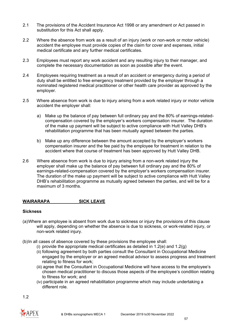- 2.1 The provisions of the Accident Insurance Act 1998 or any amendment or Act passed in substitution for this Act shall apply.
- 2.2 Where the absence from work as a result of an injury (work or non-work or motor vehicle) accident the employee must provide copies of the claim for cover and expenses, initial medical certificate and any further medical certificates.
- 2.3 Employees must report any work accident and any resulting injury to their manager, and complete the necessary documentation as soon as possible after the event.
- 2.4 Employees requiring treatment as a result of an accident or emergency during a period of duty shall be entitled to free emergency treatment provided by the employer through a nominated registered medical practitioner or other health care provider as approved by the employer.
- 2.5 Where absence from work is due to injury arising from a work related injury or motor vehicle accident the employer shall:
	- a) Make up the balance of pay between full ordinary pay and the 80% of earnings-relatedcompensation covered by the employer's workers compensation insurer. The duration of the make up payment will be subject to active compliance with Hutt Valley DHB's rehabilitation programme that has been mutually agreed between the parties.
	- b) Make up any difference between the amount accepted by the employer's workers compensation insurer and the fee paid by the employee for treatment in relation to the accident where that course of treatment has been approved by Hutt Valley DHB.
- 2.6 Where absence from work is due to injury arising from a non-work related injury the employer shall make up the balance of pay between full ordinary pay and the 80% of earnings-related-compensation covered by the employer's workers compensation insurer. The duration of the make up payment will be subject to active compliance with Hutt Valley DHB's rehabilitation programme as mutually agreed between the parties, and will be for a maximum of 3 months.

#### **WAIRARAPA SICK LEAVE**

#### **Sickness**

- (a)Where an employee is absent from work due to sickness or injury the provisions of this clause will apply, depending on whether the absence is due to sickness, or work-related injury, or non-work related injury.
- (b)In all cases of absence covered by these provisions the employee shall:
	- (i) provide the appropriate medical certificates as detailed in 1.2(e) and 1.2(g)
	- (ii) following agreement by both parties consult the Consultant in Occupational Medicine engaged by the employer or an agreed medical advisor to assess progress and treatment relating to fitness for work;
	- (iii) agree that the Consultant in Occupational Medicine will have access to the employee's chosen medical practitioner to discuss those aspects of the employee's condition relating to fitness for work; and
	- (iv) participate in an agreed rehabilitation programme which may include undertaking a different role.

1.2

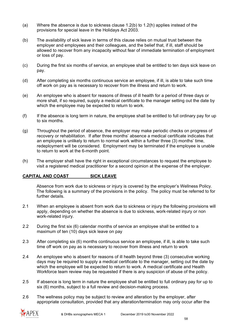- (a) Where the absence is due to sickness clause 1.2(b) to 1.2(h) applies instead of the provisions for special leave in the Holidays Act 2003.
- (b) The availability of sick leave in terms of this clause relies on mutual trust between the employer and employees and their colleagues, and the belief that, if ill, staff should be allowed to recover from any incapacity without fear of immediate termination of employment or loss of pay.
- (c) During the first six months of service, an employee shall be entitled to ten days sick leave on pay.
- (d) After completing six months continuous service an employee, if ill, is able to take such time off work on pay as is necessary to recover from the illness and return to work.
- (e) An employee who is absent for reasons of illness of ill health for a period of three days or more shall, if so required, supply a medical certificate to the manager setting out the date by which the employee may be expected to return to work.
- (f) If the absence is long term in nature, the employee shall be entitled to full ordinary pay for up to six months.
- (g) Throughout the period of absence, the employer may make periodic checks on progress of recovery or rehabilitation. If after three months' absence a medical certificate indicates that an employee is unlikely to return to normal work within a further three (3) months' time, redeployment will be considered. Employment may be terminated if the employee is unable to return to work at the 6-month point.
- (h) The employer shall have the right in exceptional circumstances to request the employee to visit a registered medical practitioner for a second opinion at the expense of the employer.

#### **CAPITAL AND COAST SICK LEAVE**

Absence from work due to sickness or injury is covered by the employer's Wellness Policy. The following is a summary of the provisions in the policy. The policy must be referred to for further details.

- 2.1 When an employee is absent from work due to sickness or injury the following provisions will apply, depending on whether the absence is due to sickness, work-related injury or non work-related injury.
- 2.2 During the first six (6) calendar months of service an employee shall be entitled to a maximum of ten (10) days sick leave on pay
- 2.3 After completing six (6) months continuous service an employee, if ill, is able to take such time off work on pay as is necessary to recover from illness and return to work
- 2.4 An employee who is absent for reasons of ill health beyond three (3) consecutive working days may be required to supply a medical certificate to the manager, setting out the date by which the employee will be expected to return to work. A medical certificate and Health Workforce team review may be requested if there is any suspicion of abuse of the policy.
- 2.5 If absence is long term in nature the employee shall be entitled to full ordinary pay for up to six (6) months, subject to a full review and decision-making process.
- 2.6 The wellness policy may be subject to review and alteration by the employer, after appropriate consultation, provided that any alteration/termination may only occur after the

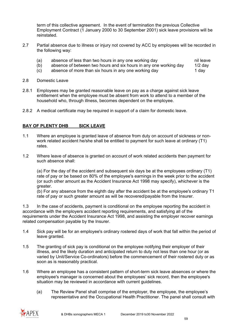term of this collective agreement. In the event of termination the previous Collective Employment Contract (1 January 2000 to 30 September 2001) sick leave provisions will be reinstated.

- 2.7 Partial absence due to illness or injury not covered by ACC by employees will be recorded in the following way:
	- (a) absence of less than two hours in any one working day  $\frac{1}{2}$  nil leave (b) absence of between two hours and six hours in any one working day  $\frac{1}{2}$  day
	- absence of between two hours and six hours in any one working day
	- (c) absence of more than six hours in any one working day **1** day
- 2.8 Domestic Leave
- 2.8.1 Employees may be granted reasonable leave on pay as a charge against sick leave entitlement when the employee must be absent from work to attend to a member of the household who, through illness, becomes dependent on the employee.
- 2.8.2 A medical certificate may be required in support of a claim for domestic leave.

#### **BAY OF PLENTY DHB SICK LEAVE**

- 1.1 Where an employee is granted leave of absence from duty on account of sickness or nonwork related accident he/she shall be entitled to payment for such leave at ordinary (T1) rates.
- 1.2 Where leave of absence is granted on account of work related accidents then payment for such absence shall:

(a) For the day of the accident and subsequent six days be at the employees ordinary (T1) rate of pay or be based on 80% of the employee's earnings in the week prior to the accident (or such other amount as the Accident Insurance Act 1998 may specify), whichever is the greater.

(b) For any absence from the eighth day after the accident be at the employee's ordinary T1 rate of pay or such greater amount as will be recovered/payable from the Insurer.

1.3 In the case of accidents, payment is conditional on the employee reporting the accident in accordance with the employers accident reporting requirements, and satisfying all of the requirements under the Accident Insurance Act 1998, and assisting the employer recover earnings related compensation payable by the Insurer.

- 1.4 Sick pay will be for an employee's ordinary rostered days of work that fall within the period of leave granted.
- 1.5 The granting of sick pay is conditional on the employee notifying their employer of their illness, and the likely duration and anticipated return to duty not less than one hour (or as varied by Unit/Service Co-ordinators) before the commencement of their rostered duty or as soon as is reasonably practical.
- 1.6 Where an employee has a consistent pattern of short-term sick leave absences or where the employee's manager is concerned about the employees' sick record, then the employee's situation may be reviewed in accordance with current guidelines.
	- (a) The Review Panel shall comprise of the employer, the employee, the employee's representative and the Occupational Health Practitioner. The panel shall consult with

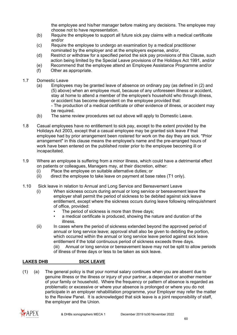the employee and his/her manager before making any decisions. The employee may choose not to have representation.

- (b) Require the employee to support all future sick pay claims with a medical certificate and/or
- (c) Require the employee to undergo an examination by a medical practitioner nominated by the employer and at the employers expense, and/or,
- (d) Restrict or withdraw for a specified period the sick pay provisions of this Clause, such action being limited by the Special Leave provisions of the Holidays Act 1991, and/or
- (e) Recommend that the employee attend an Employee Assistance Programme and/or
- (f) Other as appropriate.
- 1.7 Domestic Leave
	- (a) Employees may be granted leave of absence on ordinary pay (as defined in (2) and (5) above) when an employee must, because of any unforeseen illness or accident, stay at home to attend a member of the employee's household who through illness, or accident has become dependent on the employee provided that: - The production of a medical certificate or other evidence of illness, or accident may be required.
	- (b) The same review procedures set out above will apply to Domestic Leave.
- 1.8 Casual employees have no entitlement to sick pay, except to the extent provided by the Holidays Act 2003, except that a casual employee may be granted sick leave if that employee had by prior arrangement been rostered for work on the day they are sick. "Prior arrangement" in this clause means the employee's name and the pre-arranged hours of work have been entered on the published roster prior to the employee becoming ill or incapacitated.
- 1.9 Where an employee is suffering from a minor illness, which could have a detrimental effect on patients or colleagues, Managers may, at their discretion, either:
	- (i) Place the employee on suitable alternative duties; or
	- (ii) direct the employee to take leave on payment at base rates (T1 only).
- 1.10 Sick leave in relation to Annual and Long Service and Bereavement Leave
	- (i) When sickness occurs during annual or long service or bereavement leave the employer shall permit the period of sickness to be debited against sick leave entitlement, except where the sickness occurs during leave following relinquishment of office, provided:
		- The period of sickness is more than three days;
		- a medical certificate is produced, showing the nature and duration of the illness.
	- (ii) In cases where the period of sickness extended beyond the approved period of annual or long service leave; approval shall also be given to debiting the portion, which occurred within the annual or long service leave period against sick leave entitlement if the total continuous period of sickness exceeds three days. (iii) Annual or long service or bereavement leave may not be split to allow periods of illness of three days or less to be taken as sick leave.

### **LAKES DHB SICK LEAVE**

(1) (a) The general policy is that your normal salary continues when you are absent due to genuine illness or the illness or injury of your partner, a dependant or another member of your family or household. Where the frequency or pattern of absence is regarded as problematic or excessive or where your absence is prolonged or where you do not participate in an employer rehabilitation programme, your Employer may refer the matter to the Review Panel. It is acknowledged that sick leave is a joint responsibility of staff, the employer and the Union.

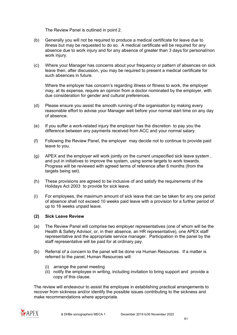The Review Panel is outlined in point 2.

- (b) Generally you will not be required to produce a medical certificate for leave due to illness but may be requested to do so. A medical certificate will be required for any absence due to work injury and for any absence of greater than 3 days for personal/non work injury.
- (c) Where your Manager has concerns about your frequency or pattern of absences on sick leave then, after discussion, you may be required to present a medical certificate for such absences in future.

Where the employer has concern's regarding illness or fitness to work, the employer may, at its expense, require an opinion from a doctor nominated by the employer, with due consideration for gender and cultural preferences.

- (d) Please ensure you assist the smooth running of the organisation by making every reasonable effort to advise your Manager well before your normal start time on any day of absence.
- (e) If you suffer a work-related injury the employer has the discretion to pay you the difference between any payments received from ACC and your normal salary.
- (f) Following the Review Panel, the employer may decide not to continue to provide paid leave to you.
- (g) APEX and the employer will work jointly on the current unspecified sick leave system , and put in initiatives to improve the system, using some targets to work towards. Progress will be reviewed with agreed terms of reference after 6 months (from the targets being set).
- (h) These provisions are agreed to be inclusive of and satisfy the requirements of the Holidays Act 2003 to provide for sick leave.
- (i) For employees, the maximum amount of sick leave that can be taken for any one period of absence shall not exceed 10 weeks paid leave with a provision for a further period of up to 16 weeks unpaid leave.

#### **(2) Sick Leave Review**

- (a) The Review Panel will comprise two employer representatives (one of whom will be the Health & Safety Advisor, or, in their absence, an HR representative), one APEX staff representative and the appropriate service manager. Participation in the panel by the staff representative will be paid for at ordinary pay.
- (b) Referral of a concern to the panel will be done via Human Resources. If a matter is referred to the panel, Human Resources will:
	- (i) arrange the panel meeting
	- (ii) notify the employee in writing, including invitation to bring support and provide a copy of this clause.

The review will endeavour to assist the employee in establishing practical arrangements to recover from sickness and/or identify the possible issues contributing to the sickness and make recommendations where appropriate.

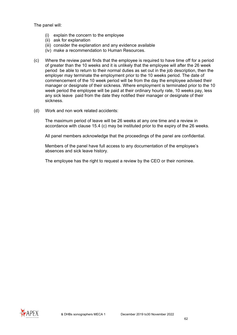The panel will:

- (i) explain the concern to the employee
- (ii) ask for explanation
- (iii) consider the explanation and any evidence available
- (iv) make a recommendation to Human Resources.
- (c) Where the review panel finds that the employee is required to have time off for a period of greater than the 10 weeks and it is unlikely that the employee will after the 26 week period be able to return to their normal duties as set out in the job description, then the employer may terminate the employment prior to the 10 weeks period. The date of commencement of the 10 week period will be from the day the employee advised their manager or designate of their sickness. Where employment is terminated prior to the 10 week period the employee will be paid at their ordinary hourly rate, 10 weeks pay, less any sick leave paid from the date they notified their manager or designate of their sickness.
- (d) Work and non work related accidents:

The maximum period of leave will be 26 weeks at any one time and a review in accordance with clause 15.4 (c) may be instituted prior to the expiry of the 26 weeks.

All panel members acknowledge that the proceedings of the panel are confidential.

Members of the panel have full access to any documentation of the employee's absences and sick leave history.

The employee has the right to request a review by the CEO or their nominee.

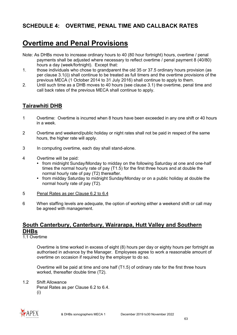# **SCHEDULE 4: OVERTIME, PENAL TIME AND CALLBACK RATES**

# **Overtime and Penal Provisions**

- Note: As DHBs move to increase ordinary hours to 40 (80 hour fortnight) hours, overtime / penal payments shall be adjusted where necessary to reflect overtime / penal payment 8 (40/80) hours a day (week/fortnight). Except that:
- 1. those individuals who chose to grandparent the old 35 or 37.5 ordinary hours provision (as per clause 3.1(i)) shall continue to be treated as full timers and the overtime provisions of the previous MECA (1 October 2014 to 31 July 2016) shall continue to apply to them.
- 2. Until such time as a DHB moves to 40 hours (see clause 3.1) the overtime, penal time and call back rates of the previous MECA shall continue to apply.

### **Tairawhiti DHB**

- 1 Overtime: Overtime is incurred when 8 hours have been exceeded in any one shift or 40 hours in a week.
- 2 Overtime and weekend/public holiday or night rates shall not be paid in respect of the same hours, the higher rate will apply.
- 3 In computing overtime, each day shall stand-alone.
- 4 Overtime will be paid:
	- from midnight Sunday/Monday to midday on the following Saturday at one and one-half times the normal hourly rate of pay (T1.5) for the first three hours and at double the normal hourly rate of pay (T2) thereafter.
	- from midday Saturday to midnight Sunday/Monday or on a public holiday at double the normal hourly rate of pay (T2).
- 5 Penal Rates as per Clause 6.2 to 6.4
- 6 When staffing levels are adequate, the option of working either a weekend shift or call may be agreed with management.

## **South Canterbury, Canterbury, Wairarapa, Hutt Valley and Southern DHBs**

1.1 Overtime

Overtime is time worked in excess of eight (8) hours per day or eighty hours per fortnight as authorised in advance by the Manager. Employees agree to work a reasonable amount of overtime on occasion if required by the employer to do so.

Overtime will be paid at time and one half (T1.5) of ordinary rate for the first three hours worked, thereafter double time (T2).

1.2 Shift Allowance

Penal Rates as per Clause 6.2 to 6.4. (i)

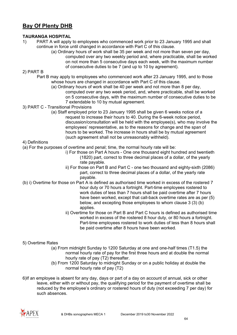# **Bay Of Plenty DHB**

#### **TAURANGA HOSPITAL**

- 1) PART A will apply to employees who commenced work prior to 23 January 1995 and shall continue in force until changed in accordance with Part C of this clause.
	- (a) Ordinary hours of work shall be 35 per week and not more than seven per day, computed over any two weekly period and, where practicable, shall be worked on not more than 5 consecutive days each week, with the maximum number of consecutive duties to be 7 (and up to 10 by agreement).

#### 2) PART B

- Part B may apply to employees who commenced work after 23 January 1995, and to those whose hours are changed in accordance with Part C of this clause.
	- (a) Ordinary hours of work shall be 40 per week and not more than 8 per day, computed over any two week period, and, where practicable, shall be worked on 5 consecutive days, with the maximum number of consecutive duties to be 7 extendable to 10 by mutual agreement.
- 3) PART C Transitional Provisions
	- (a) Staff employed prior to 23 January 1995 shall be given 6 weeks notice of a request to increase their hours to 40. During the 6-week notice period, discussion/consultation will be held with the employee(s), who may involve the employees' representative, as to the reasons for change and the span of hours to be worked. The increase in hours shall be by mutual agreement (such agreement shall not be unreasonably withheld).

#### 4) Definitions

- (a) For the purposes of overtime and penal; time, the normal hourly rate will be:
	- i) For those on Part A hours One one thousand eight hundred and twentieth (1820) part, correct to three decimal places of a dollar, of the yearly rate payable.
	- ii) For those on Part B and Part C one two thousand and eighty-sixth (2086) part, correct to three decimal places of a dollar, of the yearly rate payable.
- (b) i) Overtime for those on Part A is defined as authorised time worked in excess of the rostered 7 hour duty or 70 hours a fortnight. Part-time employees rostered to work duties of less than 7 hours shall be paid overtime after 7 hours have been worked, except that call-back overtime rates are as per (5) below, and excepting those employees to whom clause 3 (3) (b) applies.
	- ii) Overtime for those on Part B and Part C hours is defined as authorised time worked in excess of the rostered 8 hour duty, or 80 hours a fortnight. Part-time employees rostered to work duties of less than 8 hours shall be paid overtime after 8 hours have been worked.

#### 5) Overtime Rates

- (a) From midnight Sunday to 1200 Saturday at one and one-half times (T1.5) the normal hourly rate of pay for the first three hours and at double the normal hourly rate of pay (T2) thereafter.
- (b) From 1200 Saturday to midnight Sunday or on a public holiday at double the normal hourly rate of pay (T2)
- 6)If an employee is absent for any day, days or part of a day on account of annual, sick or other leave, either with or without pay, the qualifying period for the payment of overtime shall be reduced by the employee's ordinary or rostered hours of duty (not exceeding 7 per day) for such absences.

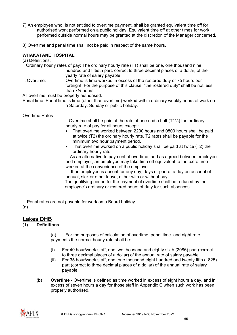- 7) An employee who, is not entitled to overtime payment, shall be granted equivalent time off for authorised work performed on a public holiday. Equivalent time off at other times for work performed outside normal hours may be granted at the discretion of the Manager concerned.
- 8) Overtime and penal time shall not be paid in respect of the same hours.

#### **WHAKATANE HOSPITAL**

(a) Definitions:

i. Ordinary hourly rates of pay: The ordinary hourly rate (T1) shall be one, one thousand nine hundred and fiftieth part, correct to three decimal places of a dollar, of the yearly rate of salary payable.

ii. Overtime: Overtime is time worked in excess of the rostered duty or 75 hours per fortnight. For the purpose of this clause, "the rostered duty" shall be not less than 7½ hours.

All overtime must be properly authorised.

Penal time: Penal time is time (other than overtime) worked within ordinary weekly hours of work on a Saturday, Sunday or public holiday.

Overtime Rates

i. Overtime shall be paid at the rate of one and a half  $(T1\frac{1}{2})$  the ordinary hourly rate of pay for all hours except:

- That overtime worked between 2200 hours and 0800 hours shall be paid at twice (T2) the ordinary hourly rate. T2 rates shall be payable for the minimum two hour payment period.
- That overtime worked on a public holiday shall be paid at twice (T2) the ordinary hourly rate.

ii. As an alternative to payment of overtime, and as agreed between employee and employer, an employee may take time off equivalent to the extra time worked at the convenience of the employer.

iii. If an employee is absent for any day, days or part of a day on account of annual, sick or other leave, either with or without pay,

The qualifying period for the payment of overtime shall be reduced by the employee's ordinary or rostered hours of duty for such absences.

ii. Penal rates are not payable for work on a Board holiday.

(g)

### **Lakes DHB**

### (1) **Definitions:**

(a) For the purposes of calculation of overtime, penal time. and night rate payments the normal hourly rate shall be:

- (i) For 40 hour/week staff, one two thousand and eighty sixth (2086) part (correct to three decimal places of a dollar) of the annual rate of salary payable.
- (ii) For 35 hour/week staff, one, one thousand eight hundred and twenty fifth (1825) part (correct to three decimal places of a dollar) of the annual rate of salary payable.
- (b) **Overtime** Overtime is defined as time worked in excess of eight hours a day, and in excess of seven hours a day for those staff in Appendix C when such work has been properly authorised.

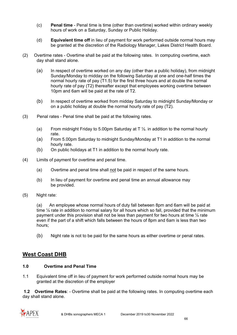- (c) **Penal time** Penal time is time (other than overtime) worked within ordinary weekly hours of work on a Saturday, Sunday or Public Holiday.
- (d) **Equivalent time off** in lieu of payment for work performed outside normal hours may be granted at the discretion of the Radiology Manager, Lakes District Health Board.
- (2) Overtime rates Overtime shall be paid at the following rates. In computing overtime, each day shall stand alone.
	- (a) In respect of overtime worked on any day (other than a public holiday), from midnight Sunday/Monday to midday on the following Saturday at one and one-half times the normal hourly rate of pay (T1.5) for the first three hours and at double the normal hourly rate of pay (T2) thereafter except that employees working overtime between 10pm and 6am will be paid at the rate of T2.
	- (b) In respect of overtime worked from midday Saturday to midnight Sunday/Monday or on a public holiday at double the normal hourly rate of pay (T2).
- (3) Penal rates Penal time shall be paid at the following rates.
	- (a) From midnight Friday to 5.00pm Saturday at  $T\frac{1}{2}$  in addition to the normal hourly rate.
	- (a) From 5.00pm Saturday to midnight Sunday/Monday at T1 in addition to the normal hourly rate.
	- (b) On public holidays at T1 in addition to the normal hourly rate.
- (4) Limits of payment for overtime and penal time.
	- (a) Overtime and penal time shall not be paid in respect of the same hours.
	- (b) In lieu of payment for overtime and penal time an annual allowance may be provided.
- (5) Night rate:

(a) An employee whose normal hours of duty fall between 8pm and 6am will be paid at time  $\frac{1}{4}$  rate in addition to normal salary for all hours which so fall, provided that the minimum payment under this provision shall not be less than payment for two hours at time  $\frac{1}{4}$  rate even if the part of a shift which falls between the hours of 8pm and 6am is less than two hours;

(b) Night rate is not to be paid for the same hours as either overtime or penal rates.

### **West Coast DHB**

### **1.0 Overtime and Penal Time**

1.1 Equivalent time off in lieu of payment for work performed outside normal hours may be granted at the discretion of the employer

**1.2 Overtime Rates**: - Overtime shall be paid at the following rates. In computing overtime each day shall stand alone.

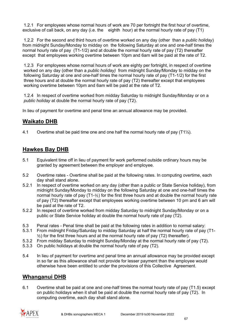1.2.1 For employees whose normal hours of work are 70 per fortnight the first hour of overtime, exclusive of call back, on any day (i.e. the eighth hour) at the normal hourly rate of pay (T1)

1.2.2 For the second and third hours of overtime worked on any day (other than a *public holiday*) from midnight Sunday/Monday to midday on the following Saturday at one and one-half times the normal hourly rate of pay (T1-1/2) and at double the normal hourly rate of pay (T2) thereafter except that employees working overtime between 10pm and 6am will be paid at the rate of T2.

1.2.3 For employees whose normal hours of work are eighty per fortnight, in respect of overtime worked on any day (other than a *public holiday)* from midnight Sunday/Monday to midday on the following Saturday at one and one-half times the normal hourly rate of pay (T1-1/2) for the first three hours and at double the normal hourly rate of pay (T2) thereafter except that employees working overtime between 10pm and 6am will be paid at the rate of T2.

1.2.4 In respect of overtime worked from midday Saturday to midnight Sunday/Monday or on a *public holiday* at double the normal hourly rate of pay (T2).

In lieu of payment for overtime and penal time an annual allowance may be provided.

### **Waikato DHB**

4.1 Overtime shall be paid time one and one half the normal hourly rate of pay (T1½).

### **Hawkes Bay DHB**

- 5.1 Equivalent time off in lieu of payment for work performed outside ordinary hours may be granted by agreement between the employer and employee.
- 5.2 Overtime rates Overtime shall be paid at the following rates. In computing overtime, each day shall stand alone.
- 5.2.1 In respect of overtime worked on any day (other than a public or State Service holiday), from midnight Sunday/Monday to midday on the following Saturday at one and one-half times the normal hourly rate of pay (T1-½) for the first three hours and at double the normal hourly rate of pay (T2) thereafter except that employees working overtime between 10 pm and 6 am will be paid at the rate of T2.
- 5.2.2 In respect of overtime worked from midday Saturday to midnight Sunday/Monday or on a public or State Service holiday at double the normal hourly rate of pay (T2).
- 5.3 Penal rates Penal time shall be paid at the following rates in addition to normal salary:<br>5.3.1 From midnight Friday/Saturday to midday Saturday at half the normal hourly rate of pay
- 5.3.1 From midnight Friday/Saturday to midday Saturday at half the normal hourly rate of pay (T1-  $\frac{1}{2}$ ) for the first three hours and at the normal hourly rate of pay (T2) thereafter).
- 5.3.2 From midday Saturday to midnight Sunday/Monday at the normal hourly rate of pay (T2).<br>5.3.3 On public holidays at double the normal hourly rate of pay (T2).
- 5.3.3 On public holidays at double the normal hourly rate of pay (T2).
- 5.4 In lieu of payment for overtime and penal time an annual allowance may be provided except in so far as this allowance shall not provide for lesser payment than the employee would otherwise have been entitled to under the provisions of this Collective Agreement.

### **Whanganui DHB**

6.1 Overtime shall be paid at one and one-half times the normal hourly rate of pay (T1.5) except on public holidays when it shall be paid at double the normal hourly rate of pay (T2). In computing overtime, each day shall stand alone.

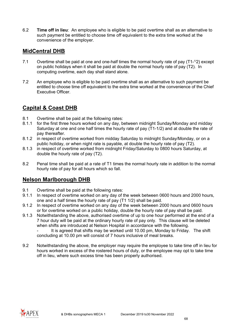6.2 **Time off in lieu**: An employee who is eligible to be paid overtime shall as an alternative to such payment be entitled to choose time off equivalent to the extra time worked at the convenience of the employer.

## **MidCentral DHB**

- 7.1 Overtime shall be paid at one and one-half times the normal hourly rate of pay (T1-<sup>1/2</sup>) except on public holidays when it shall be paid at double the normal hourly rate of pay (T2). In computing overtime, each day shall stand alone.
- 7.2 An employee who is eligible to be paid overtime shall as an alternative to such payment be entitled to choose time off equivalent to the extra time worked at the convenience of the Chief Executive Officer.

### **Capital & Coast DHB**

- 8.1 Overtime shall be paid at the following rates:
- 8.1.1 for the first three hours worked on any day, between midnight Sunday/Monday and midday Saturday at one and one half times the hourly rate of pay (T1-1/2) and at double the rate of pay thereafter.
- 8.1.2 in respect of overtime worked from midday Saturday to midnight Sunday/Monday, or on a public holiday, or when night rate is payable, at double the hourly rate of pay (T2).
- 8.1.3 in respect of overtime worked from midnight Friday/Saturday to 0800 hours Saturday, at double the hourly rate of pay (T2).
- 8.2 Penal time shall be paid at a rate of T1 times the normal hourly rate in addition to the normal hourly rate of pay for all hours which so fall.

# **Nelson Marlborough DHB**

- 9.1 Overtime shall be paid at the following rates:
- 9.1.1 In respect of overtime worked on any day of the week between 0600 hours and 2000 hours, one and a half times the hourly rate of pay (T1 1/2) shall be paid.
- 9.1.2 In respect of overtime worked on any day of the week between 2000 hours and 0600 hours or for overtime worked on a public holiday, double the hourly rate of pay shall be paid.
- 9.1.3 Notwithstanding the above, authorised overtime of up to one hour performed at the end of a 7 hour duty will be paid at the ordinary hourly rate of pay only. This clause will be deleted when shifts are introduced at Nelson Hospital in accordance with the following. It is agreed that shifts may be worked until 10.00 pm, Monday to Friday. The shift concluding at 10.00 pm will consist of 7 hours inclusive of meal breaks.
- 9.2 Notwithstanding the above, the employer may require the employee to take time off in lieu for hours worked in excess of the rostered hours of duty, or the employee may opt to take time off in lieu, where such excess time has been properly authorised.

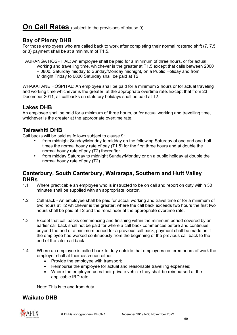# **On Call Rates** (subject to the provisions of clause 9)

## **Bay of Plenty DHB**

For those employees who are called back to work after completing their normal rostered shift (7, 7.5 or 8) payment shall be at a minimum of T1.5.

TAURANGA HOSPITAL: An employee shall be paid for a minimum of three hours, or for actual working and travelling time, whichever is the greater at T1.5 except that calls between 2000 – 0800, Saturday midday to Sunday/Monday midnight, on a Public Holiday and from Midnight Friday to 0800 Saturday shall be paid at T2

WHAKATANE HOSPITAL: An employee shall be paid for a minimum 2 hours or for actual traveling and working time whichever is the greater, at the appropriate overtime rate. Except that from 23 December 2011, all callbacks on statutory holidays shall be paid at T2.

### **Lakes DHB**

An employee shall be paid for a minimum of three hours, or for actual working and travelling time, whichever is the greater at the appropriate overtime rate.

# **Tairawhiti DHB**

Call backs will be paid as follows subject to clause 9:

- from midnight Sunday/Monday to midday on the following Saturday at one and one-half times the normal hourly rate of pay (T1.5) for the first three hours and at double the normal hourly rate of pay (T2) thereafter.
- from midday Saturday to midnight Sunday/Monday or on a public holiday at double the normal hourly rate of pay (T2).

# **Canterbury, South Canterbury, Wairarapa, Southern and Hutt Valley DHBs**

- Where practicable an employee who is instructed to be on call and report on duty within 30 minutes shall be supplied with an appropriate locator.
- 1.2 Call Back An employee shall be paid for actual working and travel time or for a minimum of two hours at T2 whichever is the greater; where the call back exceeds two hours the first two hours shall be paid at T2 and the remainder at the appropriate overtime rate.
- 1.3 Except that call backs commencing and finishing within the minimum period covered by an earlier call back shall not be paid for where a call back commences before and continues beyond the end of a minimum period for a previous call back, payment shall be made as if the employee had worked continuously from the beginning of the previous call back to the end of the later call back.
- 1.4 Where an employee is called back to duty outside that employees rostered hours of work the employer shall at their discretion either:
	- Provide the employee with transport:
	- Reimburse the employee for actual and reasonable travelling expenses;
	- Where the employee uses their private vehicle they shall be reimbursed at the applicable IRD rate.

Note: This is to and from duty.

# **Waikato DHB**

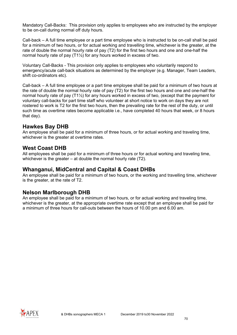Mandatory Call-Backs: This provision only applies to employees who are instructed by the employer to be on-call during normal off duty hours.

Call-back – A full time employee or a part time employee who is instructed to be on-call shall be paid for a minimum of two hours, or for actual working and travelling time, whichever is the greater, at the rate of double the normal hourly rate of pay (T2) for the first two hours and one and one-half the normal hourly rate of pay (T1½) for any hours worked in excess of two.

Voluntary Call-Backs - This provision only applies to employees who voluntarily respond to emergency/acute call-back situations as determined by the employer (e.g. Manager, Team Leaders, shift co-ordinators etc).

Call-back – A full time employee or a part time employee shall be paid for a minimum of two hours at the rate of double the normal hourly rate of pay (T2) for the first two hours and one and one-half the normal hourly rate of pay (T1½) for any hours worked in excess of two, (except that the payment for voluntary call-backs for part time staff who volunteer at short notice to work on days they are not rostered to work is T2 for the first two hours, then the prevailing rate for the rest of the duty, or until such time as overtime rates become applicable i.e., have completed 40 hours that week, or 8 hours that day).

### **Hawkes Bay DHB**

An employee shall be paid for a minimum of three hours, or for actual working and traveling time, whichever is the greater at overtime rates.

### **West Coast DHB**

All employees shall be paid for a minimum of three hours or for actual working and traveling time, whichever is the greater – at double the normal hourly rate (T2).

### **Whanganui, MidCentral and Capital & Coast DHBs**

An employee shall be paid for a minimum of two hours, or the working and travelling time, whichever is the greater, at the rate of T2.

### **Nelson Marlborough DHB**

An employee shall be paid for a minimum of two hours, or for actual working and traveling time, whichever is the greater, at the appropriate overtime rate except that an employee shall be paid for a minimum of three hours for call-outs between the hours of 10.00 pm and 6.00 am.

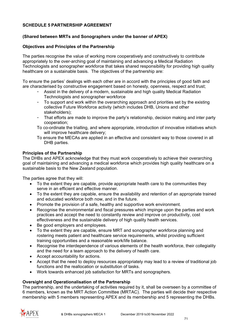#### **SCHEDULE 5 PARTNERSHIP AGREEMENT**

#### **(Shared between MRTs and Sonographers under the banner of APEX)**

#### **Objectives and Principles of the Partnership**

The parties recognise the value of working more cooperatively and constructively to contribute appropriately to the over-arching goal of maintaining and advancing a Medical Radiation Technologists and sonographer workforce that takes shared responsibility for providing high quality healthcare on a sustainable basis. The objectives of the partnership are:

To ensure the parties' dealings with each other are in accord with the principles of good faith and are characterised by constructive engagement based on honesty, openness, respect and trust;

- Assist in the delivery of a modern, sustainable and high quality Medical Radiation Technologists and sonographer workforce
- To support and work within the overarching approach and priorities set by the existing collective Future Workforce activity (which includes DHB, Unions and other stakeholders);
- That efforts are made to improve the party's relationship, decision making and inter party cooperation;
- To co-ordinate the trialling, and where appropriate, introduction of innovative initiatives which will improve healthcare delivery;
- To ensure the MECAs are applied in an effective and consistent way to those covered in all DHB parties.

#### **Principles of the Partnership**

The DHBs and APEX acknowledge that they must work cooperatively to achieve their overarching goal of maintaining and advancing a medical workforce which provides high quality healthcare on a sustainable basis to the New Zealand population.

The parties agree that they will:

- To the extent they are capable, provide appropriate health care to the communities they serve in an efficient and effective manner.
- To the extent they are capable, ensure the availability and retention of an appropriate trained and educated workforce both now, and in the future.
- Promote the provision of a safe, healthy and supportive work environment.
- Recognise the environmental and fiscal pressures which impinge upon the parties and work practices and accept the need to constantly review and improve on productivity, cost effectiveness and the sustainable delivery of high quality health services.
- Be good employers and employees.
- To the extent they are capable, ensure MRT and sonographer workforce planning and rostering meets patient and healthcare service requirements, whilst providing sufficient training opportunities and a reasonable work/life balance.
- Recognise the interdependence of various elements of the health workforce, their collegiality and the need for a team approach to the delivery of health care.
- Accept accountability for actions.
- Accept that the need to deploy resources appropriately may lead to a review of traditional job functions and the reallocation or substitution of tasks.
- Work towards enhanced job satisfaction for MRTs and sonographers.

#### **Oversight and Operationalisation of the Partnership**

The partnership, and the undertaking of activities required by it, shall be overseen by a committee of 6 members, known as the MRT Action Committee (MRTAC). The parties will decide their respective membership with 5 members representing APEX and its membership and 5 representing the DHBs.

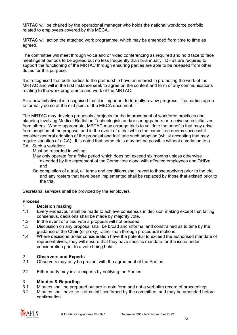MRTAC will be chaired by the operational manager who holds the national workforce portfolio related to employees covered by this MECA.

MRTAC will action the attached work programme, which may be amended from time to time as agreed.

The committee will meet through voice and or video conferencing as required and hold face to face meetings at periods to be agreed but no less frequently than bi-annually. DHBs are required to support the functioning of the MRTAC through ensuring parties are able to be released from other duties for this purpose.

It is recognised that both parties to the partnership have an interest in promoting the work of the MRTAC and will in the first instance seek to agree on the content and form of any communications relating to the work programme and work of the MRTAC.

As a new initiative it is recognised that it is important to formally review progress. The parties agree to formally do so at the mid point of the MECA document.

The MRTAC may develop proposals / projects for the improvement of workforce practices and planning involving Medical Radiation Technologists and/or sonogrpahers or receive such initiatives from others. Where appropriate, MRTAC may arrange trials to validate the benefits that may arise from adoption of the proposal and in the event of a trial which the committee deems successful consider general adoption of the proposal and facilitate such adoption (whilst accepting that may require variation of a CA). It is noted that some trials may not be possible without a variation to a CA. Such a variation:

- Must be recorded in writing;
- May only operate for a finite period which does not exceed six months unless otherwise extended by the agreement of the Committee along with affected employees and DHBs; and
- On completion of a trial, all terms and conditions shall revert to those applying prior to the trial and any rosters that have been implemented shall be replaced by those that existed prior to the trial.

Secretarial services shall be provided by the employers.

#### **Process**

#### 1 **Decision making**

- 1.1 Every endeavour shall be made to achieve consensus in decision making except that failing consensus, decisions shall be made by majority vote.
- 1.2 In the event of a tied vote a proposal will not proceed.
- 1.3 Discussion on any proposal shall be broad and informal and constrained as to time by the guidance of the Chair (or proxy) rather than through procedural motions.
- 1.4 Where decisions under consideration have the potential to exceed the authorised mandate of representatives, they will ensure that they have specific mandate for the issue under consideration prior to a vote being held.

# 2 **Observers and Experts**

- Observers may only be present with the agreement of the Parties.
- 2.2 Either party may invite experts by notifying the Parties.

#### 3 **Minutes & Reporting**

- 3.1 Minutes shall be prepared but are in note form and not a verbatim record of proceedings.
- 3.2 Minutes shall have no status until confirmed by the committee, and may be amended before confirmation.

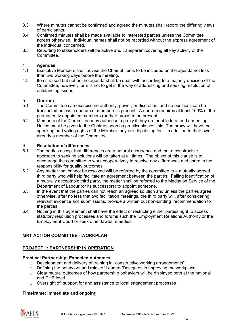- 3.3 Where minutes cannot be confirmed and agreed the minutes shall record the differing views of participants.
- 3.4 Confirmed minutes shall be made available to interested parties unless the Committee agrees otherwise. Individual names shall not be recorded without the express agreement of the individual concerned.
- 3.5 Reporting to stakeholders will be active and transparent covering all key activity of the Committee.

# 4 **Agendas**

- Executive Members shall advise the Chair of items to be included on the agenda not less than two working days before the meeting.
- 4.3 Items raised but not on the agenda shall be dealt with according to a majority decision of the Committee; however, form is not to get in the way of addressing and seeking resolution of outstanding issues.

# 5 **Quorum**<br>5.1 The Com

- The Committee can exercise no authority, power, or discretion, and no business can be transacted unless a quorum of members is present. A quorum requires at least 100% of the permanently appointed members (or their proxy) to be present.
- 5.2 Members of the Committee may authorise a proxy if they are unable to attend a meeting. Notice must be given to the Chair as soon as practicably possible. The proxy will have the speaking and voting rights of the Member they are deputising for – in addition to their own if already a member of the Committee.

# 6 **Resolution of differences**

- The parties accept that differences are a natural occurrence and that a constructive approach to seeking solutions will be taken at all times. The object of this clause is to encourage the committee to work cooperatively to resolve any differences and share in the responsibility for quality outcomes.
- 6.2 Any matter that cannot be resolved will be referred by the committee to a mutually agreed third party who will help facilitate an agreement between the parties. Failing identification of a mutually acceptable third party, the matter shall be referred to the Mediation Service of the Department of Labour (or its successors) to appoint someone.
- 6.3 In the event that the parties can not reach an agreed solution and unless the parties agree otherwise, after no less that two facilitation meetings, the third party will, after considering relevant evidence and submissions, provide a written but non-binding recommendation to the parties.
- 6.4 Nothing in this agreement shall have the effect of restricting either parties right to access statutory resolution processes and forums such the Employment Relations Authority or the Employment Court or seek other lawful remedies.

### **MRT ACTION COMMITTEE - WORKPLAN**

#### **PROJECT 1: PARTNERSHIP IN OPERATION**

#### **Practical Partnership: Expected outcomes**

- o Development and delivery of training in "constructive working arrangements"
- o Defining the behaviors and roles of Leaders/Delegates in improving the workplace
- $\circ$  Clear mutual outcomes of how partnership behaviors will be displayed both at the national and DHB level
- o Oversight of, support for and assistance to local engagement processes

#### **Timeframe: Immediate and ongoing**

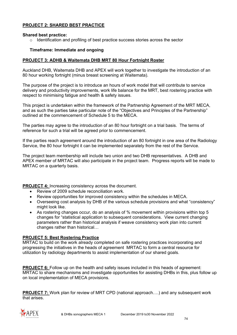## **PROJECT 2: SHARED BEST PRACTICE**

#### **Shared best practice:**

 $\circ$  Identification and profiling of best practice success stories across the sector

#### **Timeframe: Immediate and ongoing**

#### **PROJECT 3: ADHB & Waitemata DHB MRT 80 Hour Fortnight Roster**

Auckland DHB, Waitemata DHB and APEX will work together to investigate the introduction of an 80 hour working fortnight (minus breast screening at Waitemata).

The purpose of the project is to introduce an hours of work model that will contribute to service delivery and productivity improvements, work life balance for the MRT, best rostering practice with respect to minimising fatigue and health & safety issues.

This project is undertaken within the framework of the Partnership Agreement of the MRT MECA, and as such the parties take particular note of the "Objectives and Principles of the Partnership" outlined at the commencement of Schedule 5 to the MECA.

The parties may agree to the introduction of an 80 hour fortnight on a trial basis. The terms of reference for such a trial will be agreed prior to commencement.

If the parties reach agreement around the introduction of an 80 fortnight in one area of the Radiology Service, the 80 hour fortnight it can be implemented separately from the rest of the Service.

The project team membership will include two union and two DHB representatives. A DHB and APEX member of MRTAC will also participate in the project team. Progress reports will be made to MRTAC on a quarterly basis.

**PROJECT 4:** Increasing consistency across the document.

- Review of 2009 schedule reconciliation work.
- Review opportunities for improved consistency within the schedules in MECA.
- Overseeing cost analysis by DHB of the various schedule provisions and what "consistency" might look like.
- As rostering changes occur, do an analysis of % movement within provisions within top 5 changes for "statistical application to subsequent considerations. View current changing parameters rather than historical analysis if weave consistency work plan into current changes rather than historical…

#### **PROJECT 5: Best Rostering Practice**

MRTAC to build on the work already completed on safe rostering practices incorporating and progressing the initiatives in the heads of agreement MRTAC to form a central resource for utilization by radiology departments to assist implementation of our shared goals.

**PROJECT 6:** Follow up on the health and safety issues included in this heads of agreement: MRTAC to share mechanisms and investigate opportunities for assisting DHBs in this, plus follow up on local implementation of MECA provisions.

**PROJECT 7:** Work plan for review of MRT CPD (national approach….) and any subsequent work that arises.

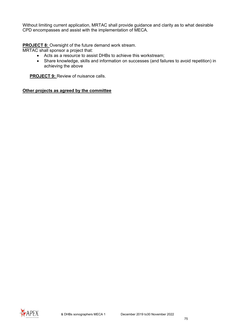Without limiting current application, MRTAC shall provide guidance and clarity as to what desirable CPD encompasses and assist with the implementation of MECA.

**PROJECT 8:** Oversight of the future demand work stream.

MRTAC shall sponsor a project that:

- Acts as a resource to assist DHBs to achieve this workstream;
- Share knowledge, skills and information on successes (and failures to avoid repetition) in achieving the above

**PROJECT 9: Review of nuisance calls.** 

#### **Other projects as agreed by the committee**

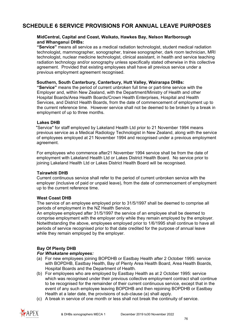# **SCHEDULE 6 SERVICE PROVISIONS FOR ANNUAL LEAVE PURPOSES**

#### **MidCentral, Capital and Coast, Waikato, Hawkes Bay, Nelson Marlborough and Whanganui DHBs:**

**"Service"** means all service as a medical radiation technologist, student medical radiation technologist, mammographer, sonographer, trainee sonographer, dark room technician, MRI technologist, nuclear medicine technologist, clinical assistant, in health and service teaching radiation technology and/or sonography unless specifically stated otherwise in this collective agreement. Provided that existing employees shall have all previous service under a previous employment agreement recognised.

#### **Southern, South Canterbury, Canterbury, Hutt Valley, Wairarapa DHBs:**

**"Service"** means the period of current unbroken full time or part-time service with the Employer and, within New Zealand, with the Department/Ministry of Health and other Hospital Boards/Area Health Boards/Crown Health Enterprises, Hospital and Health Services, and District Health Boards, from the date of commencement of employment up to the current reference time. However service shall not be deemed to be broken by a break in employment of up to three months.

#### **Lakes DHB**

 "Service" for staff employed by Lakeland Health Ltd prior to 21 November 1994 means previous service as a Medical Radiology Technologist in New Zealand, along with the service of employees employed at 21 November 1994 and recognised under a previous employment agreement.

For employees who commence after21 November 1994 service shall be from the date of employment with Lakeland Health Ltd or Lakes District Health Board. No service prior to joining Lakeland Health Ltd or Lakes District Health Board will be recognised.

#### **Tairawhiti DHB**

Current continuous service shall refer to the period of current unbroken service with the employer (inclusive of paid or unpaid leave), from the date of commencement of employment up to the current reference time.

#### **West Coast DHB**

The service of an employee employed prior to 31/5/1997 shall be deemed to comprise all periods of employment in the NZ Health Service.

An employee employed after 31/5/1997 the service of an employee shall be deemed to comprise employment with the employer only while they remain employed by the employer. Notwithstanding the above, employees employed prior to 1/6/1995 shall continue to have all periods of service recognised prior to that date credited for the purpose of annual leave while they remain employed by the employer.

#### **Bay Of Plenty DHB**

#### *For Whakatane employees:*

- (a) For new employees joining BOPDHB or Eastbay Health after 2 October 1995: service with BOPDHB, Eastbay Health, Bay of Plenty Area Health Board, Area Health Boards, Hospital Boards and the Department of Health.
- (b) For employees who are employed by Eastbay Health as at 2 October 1995: service which was recognised under their previous collective employment contract shall continue to be recognised for the remainder of their current continuous service, except that in the event of any such employee leaving BOPDHB and then rejoining BOPDHB or Eastbay Health at a later date, the provisions of sub-clause (a) shall apply.
- (c) A break in service of one month or less shall not break the continuity of service.

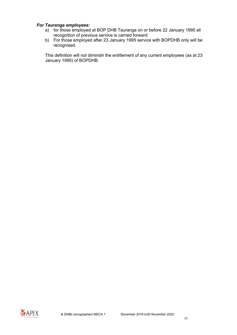#### *For Tauranga employees:*

- a) for those employed at BOP DHB Tauranga on or before 22 January 1995 all recognition of previous service is carried forward
- b) For those employed after 23 January 1995 service with BOPDHB only will be recognised.

This definition will not diminish the entitlement of any current employees (as at 23 January 1995) of BOPDHB.

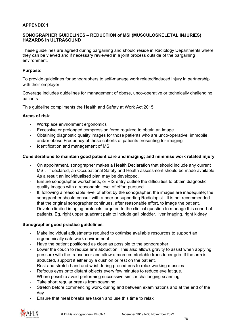### **APPENDIX 1**

#### **SONOGRAPHER GUIDELINES – REDUCTION of MSI (MUSCULOSKELETAL INJURIES) HAZARDS in ULTRASOUND**

These guidelines are agreed during bargaining and should reside in Radiology Departments where they can be viewed and if necessary reviewed in a joint process outside of the bargaining environment.

#### **Purpose**:

To provide guidelines for sonographers to self-manage work related/induced injury in partnership with their employer.

Coverage includes guidelines for management of obese, unco-operative or technically challenging patients.

This guideline compliments the Health and Safety at Work Act 2015

#### **Areas of risk**:

- Workplace environment ergonomics
- Excessive or prolonged compression force required to obtain an image
- Obtaining diagnostic quality images for those patients who are unco-operative, immobile, and/or obese Frequency of these cohorts of patients presenting for imaging
- Identification and management of MSI

#### **Considerations to maintain good patient care and imaging; and minimise work related injury**

- On appointment, sonographer makes a Health Declaration that should include any current MSI. If declared, an Occupational Safety and Health assessment should be made available. As a result an individualised plan may be developed.
- Ensure sonographer worksheets, or RIS entry outline the difficulties to obtain diagnostic quality images with a reasonable level of effort pursued
- If, following a reasonable level of effort by the sonographer, the images are inadequate; the sonographer should consult with a peer or supporting Radiologist. It is not recommended that the original sonographer continues, after reasonable effort, to image the patient.
- Develop limited imaging protocols targeted to the clinical question to manage this cohort of patients. Eg, right upper quadrant pain to include gall bladder, liver imaging, right kidney

#### **Sonographer good practice guidelines**:

- Make individual adjustments required to optimise available resources to support an ergonomically safe work environment
- Have the patient positioned as close as possible to the sonographer
- Lower the couch to reduce arm abduction. This also allows gravity to assist when applying pressure with the transducer and allow a more comfortable transducer grip. If the arm is abducted, support it either by a cushion or rest on the patient.
- Rest and stretch hand and wrist during procedures to relax working muscles
- Refocus eyes onto distant objects every few minutes to reduce eye fatigue.
- Where possible avoid performing successive similar challenging scanning.
- Take short regular breaks from scanning
- Stretch before commencing work, during and between examinations and at the end of the day
- Ensure that meal breaks are taken and use this time to relax